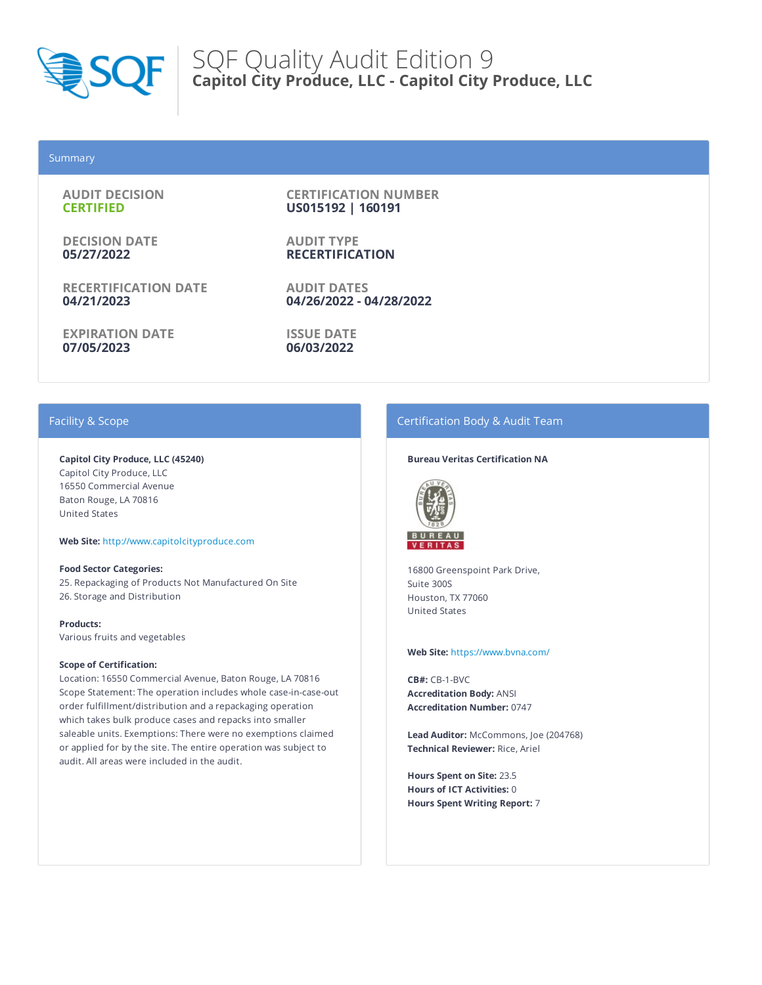

### Summary

**AUDIT DECISION CERTIFIED**

**DECISION DATE 05/27/2022**

**RECERTIFICATION DATE 04/21/2023**

**EXPIRATION DATE 07/05/2023**

**CERTIFICATION NUMBER US015192 | 160191**

**AUDIT TYPE RECERTIFICATION**

**AUDIT DATES 04/26/2022 - 04/28/2022**

**ISSUE DATE 06/03/2022**

# Facility & Scope

**Capitol City Produce, LLC (45240)** Capitol City Produce, LLC 16550 Commercial Avenue Baton Rouge, LA 70816 United States

**Web Site:** http://www.capitolcityproduce.com

**Food Sector Categories:** 25. Repackaging of Products Not Manufactured On Site 26. Storage and Distribution

**Products:** Various fruits and vegetables

#### **Scope of Certification:**

Location: 16550 Commercial Avenue, Baton Rouge, LA 70816 Scope Statement: The operation includes whole case-in-case-out order fulfillment/distribution and a repackaging operation which takes bulk produce cases and repacks into smaller saleable units. Exemptions: There were no exemptions claimed or applied for by the site. The entire operation was subject to audit. All areas were included in the audit.

# Certification Body & Audit Team

#### **Bureau Veritas Certification NA**



16800 Greenspoint Park Drive, Suite 300S Houston, TX 77060 United States

#### **Web Site:** https://www.bvna.com/

**CB#:** CB-1-BVC **Accreditation Body:** ANSI **Accreditation Number:** 0747

**Lead Auditor:** McCommons, Joe (204768) **Technical Reviewer:** Rice, Ariel

**Hours Spent on Site:** 23.5 **Hours of ICT Activities:** 0 **Hours Spent Writing Report:** 7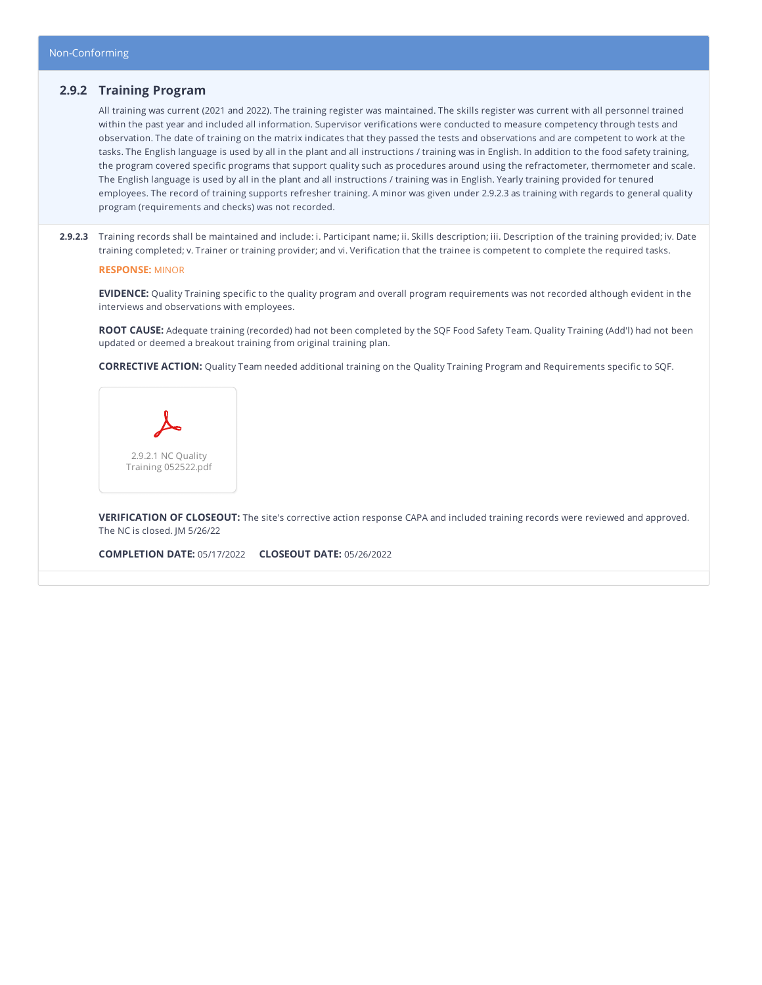# **2.9.2 Training Program**

All training was current (2021 and 2022). The training register was maintained. The skills register was current with all personnel trained within the past year and included all information. Supervisor verifications were conducted to measure competency through tests and observation. The date of training on the matrix indicates that they passed the tests and observations and are competent to work at the tasks. The English language is used by all in the plant and all instructions / training was in English. In addition to the food safety training, the program covered specific programs that support quality such as procedures around using the refractometer, thermometer and scale. The English language is used by all in the plant and all instructions / training was in English. Yearly training provided for tenured employees. The record of training supports refresher training. A minor was given under 2.9.2.3 as training with regards to general quality program (requirements and checks) was not recorded.

**2.9.2.3** Training records shall be maintained and include: i. Participant name; ii. Skills description; iii. Description of the training provided; iv. Date training completed; v. Trainer or training provider; and vi. Verification that the trainee is competent to complete the required tasks.

#### **RESPONSE:** MINOR

**EVIDENCE:** Quality Training specific to the quality program and overall program requirements was not recorded although evident in the interviews and observations with employees.

**ROOT CAUSE:** Adequate training (recorded) had not been completed by the SQF Food Safety Team. Quality Training (Add'l) had not been updated or deemed a breakout training from original training plan.

**CORRECTIVE ACTION:** Quality Team needed additional training on the Quality Training Program and Requirements specific to SQF.



**VERIFICATION OF CLOSEOUT:** The site's corrective action response CAPA and included training records were reviewed and approved. The NC is closed. JM 5/26/22

**COMPLETION DATE:** 05/17/2022 **CLOSEOUT DATE:** 05/26/2022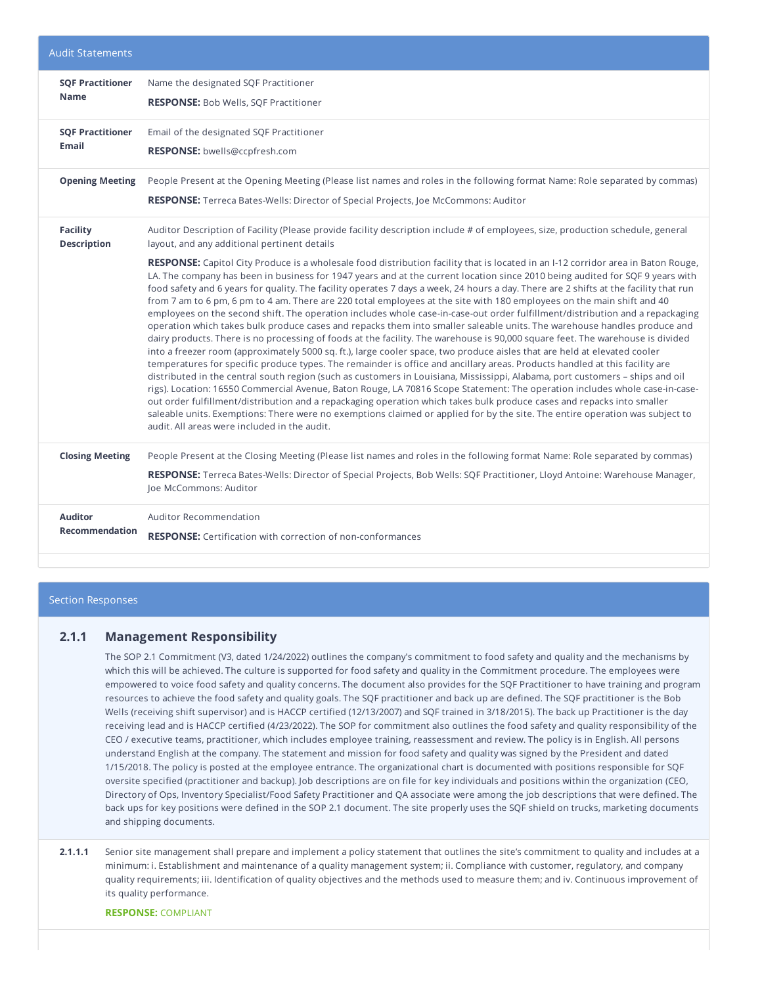| <b>Audit Statements</b>                 |                                                                                                                                                                                                                                                                                                                                                                                                                                                                                                                                                                                                                                                                                                                                                                                                                                                                                                                                                                                                                                                                                                                                                                                                                                                                                                                                                                                                                                                                                                                                                                                                                                       |
|-----------------------------------------|---------------------------------------------------------------------------------------------------------------------------------------------------------------------------------------------------------------------------------------------------------------------------------------------------------------------------------------------------------------------------------------------------------------------------------------------------------------------------------------------------------------------------------------------------------------------------------------------------------------------------------------------------------------------------------------------------------------------------------------------------------------------------------------------------------------------------------------------------------------------------------------------------------------------------------------------------------------------------------------------------------------------------------------------------------------------------------------------------------------------------------------------------------------------------------------------------------------------------------------------------------------------------------------------------------------------------------------------------------------------------------------------------------------------------------------------------------------------------------------------------------------------------------------------------------------------------------------------------------------------------------------|
| <b>SQF Practitioner</b><br><b>Name</b>  | Name the designated SQF Practitioner<br><b>RESPONSE:</b> Bob Wells, SQF Practitioner                                                                                                                                                                                                                                                                                                                                                                                                                                                                                                                                                                                                                                                                                                                                                                                                                                                                                                                                                                                                                                                                                                                                                                                                                                                                                                                                                                                                                                                                                                                                                  |
| <b>SQF Practitioner</b><br><b>Email</b> | Email of the designated SQF Practitioner<br>RESPONSE: bwells@ccpfresh.com                                                                                                                                                                                                                                                                                                                                                                                                                                                                                                                                                                                                                                                                                                                                                                                                                                                                                                                                                                                                                                                                                                                                                                                                                                                                                                                                                                                                                                                                                                                                                             |
| <b>Opening Meeting</b>                  | People Present at the Opening Meeting (Please list names and roles in the following format Name: Role separated by commas)<br><b>RESPONSE:</b> Terreca Bates-Wells: Director of Special Projects, Joe McCommons: Auditor                                                                                                                                                                                                                                                                                                                                                                                                                                                                                                                                                                                                                                                                                                                                                                                                                                                                                                                                                                                                                                                                                                                                                                                                                                                                                                                                                                                                              |
| <b>Facility</b><br><b>Description</b>   | Auditor Description of Facility (Please provide facility description include # of employees, size, production schedule, general<br>layout, and any additional pertinent details<br>RESPONSE: Capitol City Produce is a wholesale food distribution facility that is located in an I-12 corridor area in Baton Rouge,                                                                                                                                                                                                                                                                                                                                                                                                                                                                                                                                                                                                                                                                                                                                                                                                                                                                                                                                                                                                                                                                                                                                                                                                                                                                                                                  |
|                                         | LA. The company has been in business for 1947 years and at the current location since 2010 being audited for SQF 9 years with<br>food safety and 6 years for quality. The facility operates 7 days a week, 24 hours a day. There are 2 shifts at the facility that run<br>from 7 am to 6 pm, 6 pm to 4 am. There are 220 total employees at the site with 180 employees on the main shift and 40<br>employees on the second shift. The operation includes whole case-in-case-out order fulfillment/distribution and a repackaging<br>operation which takes bulk produce cases and repacks them into smaller saleable units. The warehouse handles produce and<br>dairy products. There is no processing of foods at the facility. The warehouse is 90,000 square feet. The warehouse is divided<br>into a freezer room (approximately 5000 sq. ft.), large cooler space, two produce aisles that are held at elevated cooler<br>temperatures for specific produce types. The remainder is office and ancillary areas. Products handled at this facility are<br>distributed in the central south region (such as customers in Louisiana, Mississippi, Alabama, port customers - ships and oil<br>rigs). Location: 16550 Commercial Avenue, Baton Rouge, LA 70816 Scope Statement: The operation includes whole case-in-case-<br>out order fulfillment/distribution and a repackaging operation which takes bulk produce cases and repacks into smaller<br>saleable units. Exemptions: There were no exemptions claimed or applied for by the site. The entire operation was subject to<br>audit. All areas were included in the audit. |
| <b>Closing Meeting</b>                  | People Present at the Closing Meeting (Please list names and roles in the following format Name: Role separated by commas)<br>RESPONSE: Terreca Bates-Wells: Director of Special Projects, Bob Wells: SQF Practitioner, Lloyd Antoine: Warehouse Manager,<br>Joe McCommons: Auditor                                                                                                                                                                                                                                                                                                                                                                                                                                                                                                                                                                                                                                                                                                                                                                                                                                                                                                                                                                                                                                                                                                                                                                                                                                                                                                                                                   |
| <b>Auditor</b><br><b>Recommendation</b> | Auditor Recommendation<br><b>RESPONSE:</b> Certification with correction of non-conformances                                                                                                                                                                                                                                                                                                                                                                                                                                                                                                                                                                                                                                                                                                                                                                                                                                                                                                                                                                                                                                                                                                                                                                                                                                                                                                                                                                                                                                                                                                                                          |

### Section Responses

## **2.1.1 Management Responsibility**

The SOP 2.1 Commitment (V3, dated 1/24/2022) outlines the company's commitment to food safety and quality and the mechanisms by which this will be achieved. The culture is supported for food safety and quality in the Commitment procedure. The employees were empowered to voice food safety and quality concerns. The document also provides for the SQF Practitioner to have training and program resources to achieve the food safety and quality goals. The SQF practitioner and back up are defined. The SQF practitioner is the Bob Wells (receiving shift supervisor) and is HACCP certified (12/13/2007) and SQF trained in 3/18/2015). The back up Practitioner is the day receiving lead and is HACCP certified (4/23/2022). The SOP for commitment also outlines the food safety and quality responsibility of the CEO / executive teams, practitioner, which includes employee training, reassessment and review. The policy is in English. All persons understand English at the company. The statement and mission for food safety and quality was signed by the President and dated 1/15/2018. The policy is posted at the employee entrance. The organizational chart is documented with positions responsible for SQF oversite specified (practitioner and backup). Job descriptions are on file for key individuals and positions within the organization (CEO, Directory of Ops, Inventory Specialist/Food Safety Practitioner and QA associate were among the job descriptions that were defined. The back ups for key positions were defined in the SOP 2.1 document. The site properly uses the SQF shield on trucks, marketing documents and shipping documents.

**2.1.1.1** Senior site management shall prepare and implement a policy statement that outlines the site's commitment to quality and includes at a minimum: i. Establishment and maintenance of a quality management system; ii. Compliance with customer, regulatory, and company quality requirements; iii. Identification of quality objectives and the methods used to measure them; and iv. Continuous improvement of its quality performance.

#### **RESPONSE:** COMPLIANT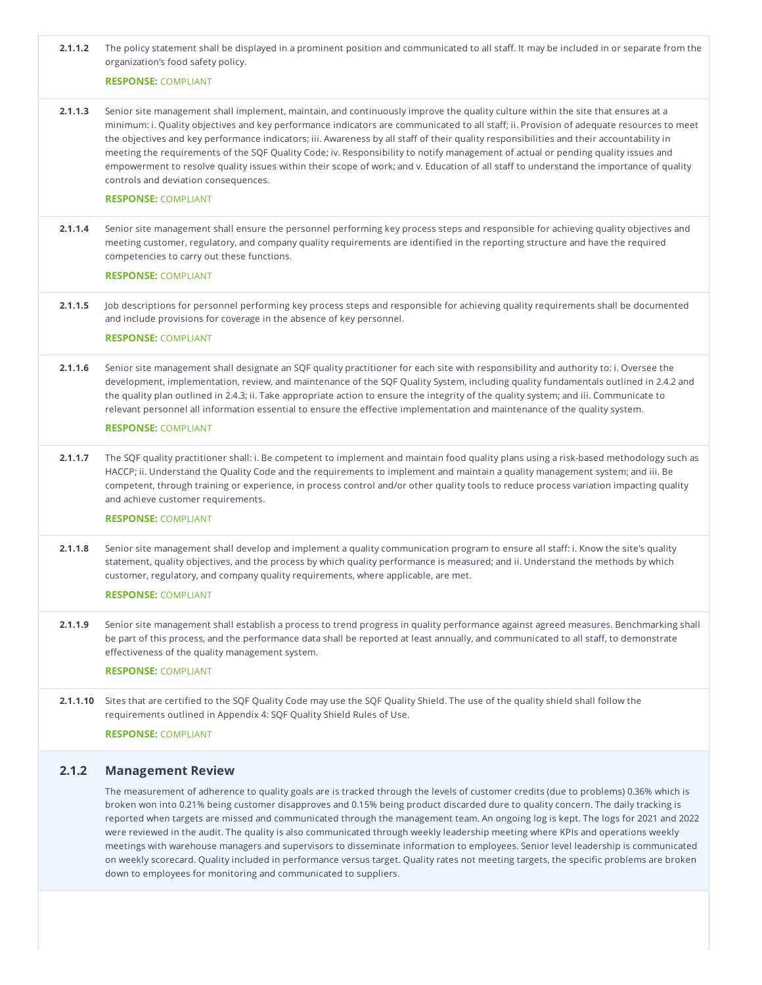| 2.1.1.2  | The policy statement shall be displayed in a prominent position and communicated to all staff. It may be included in or separate from the<br>organization's food safety policy.                                                                                                                                                                                                                                                                                                                                                                                                                                                                                                                                                                                                |
|----------|--------------------------------------------------------------------------------------------------------------------------------------------------------------------------------------------------------------------------------------------------------------------------------------------------------------------------------------------------------------------------------------------------------------------------------------------------------------------------------------------------------------------------------------------------------------------------------------------------------------------------------------------------------------------------------------------------------------------------------------------------------------------------------|
|          | <b>RESPONSE: COMPLIANT</b>                                                                                                                                                                                                                                                                                                                                                                                                                                                                                                                                                                                                                                                                                                                                                     |
| 2.1.1.3  | Senior site management shall implement, maintain, and continuously improve the quality culture within the site that ensures at a<br>minimum: i. Quality objectives and key performance indicators are communicated to all staff; ii. Provision of adequate resources to meet<br>the objectives and key performance indicators; iii. Awareness by all staff of their quality responsibilities and their accountability in<br>meeting the requirements of the SQF Quality Code; iv. Responsibility to notify management of actual or pending quality issues and<br>empowerment to resolve quality issues within their scope of work; and v. Education of all staff to understand the importance of quality<br>controls and deviation consequences.<br><b>RESPONSE: COMPLIANT</b> |
|          |                                                                                                                                                                                                                                                                                                                                                                                                                                                                                                                                                                                                                                                                                                                                                                                |
| 2.1.1.4  | Senior site management shall ensure the personnel performing key process steps and responsible for achieving quality objectives and<br>meeting customer, regulatory, and company quality requirements are identified in the reporting structure and have the required<br>competencies to carry out these functions.                                                                                                                                                                                                                                                                                                                                                                                                                                                            |
|          | <b>RESPONSE: COMPLIANT</b>                                                                                                                                                                                                                                                                                                                                                                                                                                                                                                                                                                                                                                                                                                                                                     |
| 2.1.1.5  | Job descriptions for personnel performing key process steps and responsible for achieving quality requirements shall be documented<br>and include provisions for coverage in the absence of key personnel.<br><b>RESPONSE: COMPLIANT</b>                                                                                                                                                                                                                                                                                                                                                                                                                                                                                                                                       |
|          |                                                                                                                                                                                                                                                                                                                                                                                                                                                                                                                                                                                                                                                                                                                                                                                |
| 2.1.1.6  | Senior site management shall designate an SQF quality practitioner for each site with responsibility and authority to: i. Oversee the<br>development, implementation, review, and maintenance of the SQF Quality System, including quality fundamentals outlined in 2.4.2 and<br>the quality plan outlined in 2.4.3; ii. Take appropriate action to ensure the integrity of the quality system; and iii. Communicate to<br>relevant personnel all information essential to ensure the effective implementation and maintenance of the quality system.<br><b>RESPONSE: COMPLIANT</b>                                                                                                                                                                                            |
| 2.1.1.7  | The SQF quality practitioner shall: i. Be competent to implement and maintain food quality plans using a risk-based methodology such as<br>HACCP; ii. Understand the Quality Code and the requirements to implement and maintain a quality management system; and iii. Be<br>competent, through training or experience, in process control and/or other quality tools to reduce process variation impacting quality<br>and achieve customer requirements.<br><b>RESPONSE: COMPLIANT</b>                                                                                                                                                                                                                                                                                        |
| 2.1.1.8  | Senior site management shall develop and implement a quality communication program to ensure all staff: i. Know the site's quality<br>statement, quality objectives, and the process by which quality performance is measured; and ii. Understand the methods by which<br>customer, regulatory, and company quality requirements, where applicable, are met.<br><b>RESPONSE: COMPLIANT</b>                                                                                                                                                                                                                                                                                                                                                                                     |
| 2.1.1.9  | Senior site management shall establish a process to trend progress in quality performance against agreed measures. Benchmarking shall<br>be part of this process, and the performance data shall be reported at least annually, and communicated to all staff, to demonstrate<br>effectiveness of the quality management system.<br><b>RESPONSE: COMPLIANT</b>                                                                                                                                                                                                                                                                                                                                                                                                                 |
| 2.1.1.10 | Sites that are certified to the SQF Quality Code may use the SQF Quality Shield. The use of the quality shield shall follow the<br>requirements outlined in Appendix 4: SQF Quality Shield Rules of Use.<br><b>RESPONSE: COMPLIANT</b>                                                                                                                                                                                                                                                                                                                                                                                                                                                                                                                                         |
|          |                                                                                                                                                                                                                                                                                                                                                                                                                                                                                                                                                                                                                                                                                                                                                                                |

# **2.1.2 Management Review**

The measurement of adherence to quality goals are is tracked through the levels of customer credits (due to problems) 0.36% which is broken won into 0.21% being customer disapproves and 0.15% being product discarded dure to quality concern. The daily tracking is reported when targets are missed and communicated through the management team. An ongoing log is kept. The logs for 2021 and 2022 were reviewed in the audit. The quality is also communicated through weekly leadership meeting where KPIs and operations weekly meetings with warehouse managers and supervisors to disseminate information to employees. Senior level leadership is communicated on weekly scorecard. Quality included in performance versus target. Quality rates not meeting targets, the specific problems are broken down to employees for monitoring and communicated to suppliers.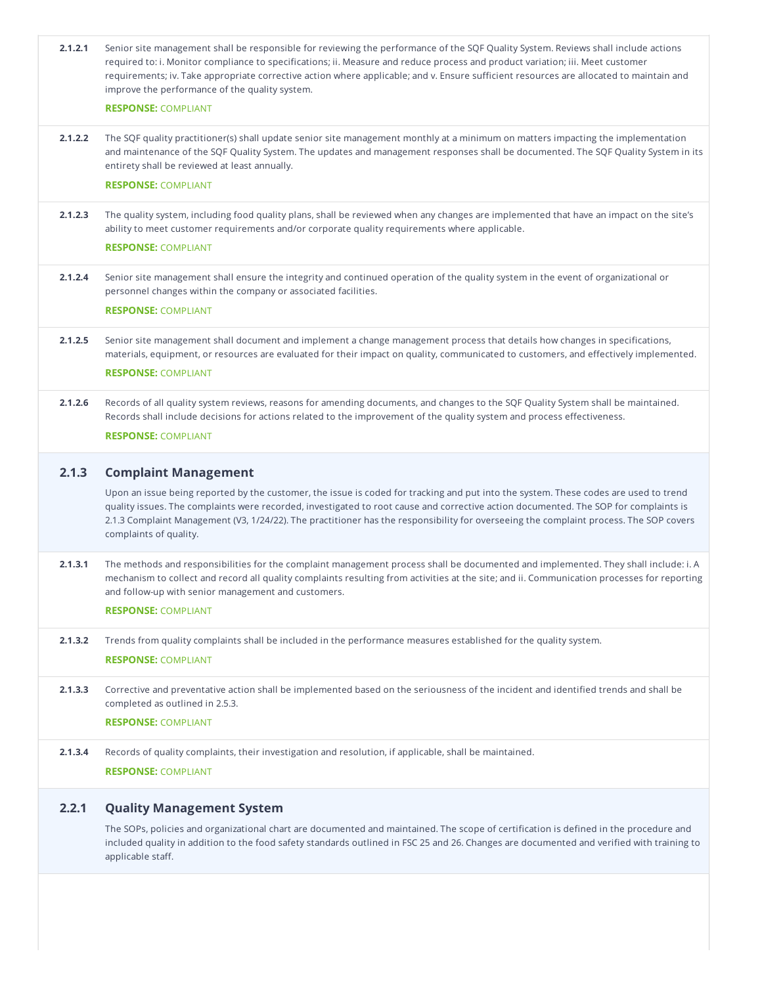| 2.1.2.1 | Senior site management shall be responsible for reviewing the performance of the SQF Quality System. Reviews shall include actions<br>required to: i. Monitor compliance to specifications; ii. Measure and reduce process and product variation; iii. Meet customer<br>requirements; iv. Take appropriate corrective action where applicable; and v. Ensure sufficient resources are allocated to maintain and<br>improve the performance of the quality system. |
|---------|-------------------------------------------------------------------------------------------------------------------------------------------------------------------------------------------------------------------------------------------------------------------------------------------------------------------------------------------------------------------------------------------------------------------------------------------------------------------|
|         | <b>RESPONSE: COMPLIANT</b>                                                                                                                                                                                                                                                                                                                                                                                                                                        |
| 2.1.2.2 | The SQF quality practitioner(s) shall update senior site management monthly at a minimum on matters impacting the implementation<br>and maintenance of the SQF Quality System. The updates and management responses shall be documented. The SQF Quality System in its<br>entirety shall be reviewed at least annually.                                                                                                                                           |
|         | <b>RESPONSE: COMPLIANT</b>                                                                                                                                                                                                                                                                                                                                                                                                                                        |
| 2.1.2.3 | The quality system, including food quality plans, shall be reviewed when any changes are implemented that have an impact on the site's<br>ability to meet customer requirements and/or corporate quality requirements where applicable.                                                                                                                                                                                                                           |
|         | <b>RESPONSE: COMPLIANT</b>                                                                                                                                                                                                                                                                                                                                                                                                                                        |
| 2.1.2.4 | Senior site management shall ensure the integrity and continued operation of the quality system in the event of organizational or<br>personnel changes within the company or associated facilities.                                                                                                                                                                                                                                                               |
|         | <b>RESPONSE: COMPLIANT</b>                                                                                                                                                                                                                                                                                                                                                                                                                                        |
| 2.1.2.5 | Senior site management shall document and implement a change management process that details how changes in specifications,<br>materials, equipment, or resources are evaluated for their impact on quality, communicated to customers, and effectively implemented.                                                                                                                                                                                              |
|         | <b>RESPONSE: COMPLIANT</b>                                                                                                                                                                                                                                                                                                                                                                                                                                        |
| 2.1.2.6 | Records of all quality system reviews, reasons for amending documents, and changes to the SQF Quality System shall be maintained.<br>Records shall include decisions for actions related to the improvement of the quality system and process effectiveness.                                                                                                                                                                                                      |
|         | <b>RESPONSE: COMPLIANT</b>                                                                                                                                                                                                                                                                                                                                                                                                                                        |
|         |                                                                                                                                                                                                                                                                                                                                                                                                                                                                   |
| 2.1.3   | <b>Complaint Management</b>                                                                                                                                                                                                                                                                                                                                                                                                                                       |
|         | Upon an issue being reported by the customer, the issue is coded for tracking and put into the system. These codes are used to trend<br>quality issues. The complaints were recorded, investigated to root cause and corrective action documented. The SOP for complaints is<br>2.1.3 Complaint Management (V3, 1/24/22). The practitioner has the responsibility for overseeing the complaint process. The SOP covers<br>complaints of quality.                  |
| 2.1.3.1 | The methods and responsibilities for the complaint management process shall be documented and implemented. They shall include: i. A<br>mechanism to collect and record all quality complaints resulting from activities at the site; and ii. Communication processes for reporting<br>and follow-up with senior management and customers.                                                                                                                         |
|         | <b>RESPONSE: COMPLIANT</b>                                                                                                                                                                                                                                                                                                                                                                                                                                        |
| 2.1.3.2 | Trends from quality complaints shall be included in the performance measures established for the quality system.                                                                                                                                                                                                                                                                                                                                                  |
|         |                                                                                                                                                                                                                                                                                                                                                                                                                                                                   |
|         |                                                                                                                                                                                                                                                                                                                                                                                                                                                                   |
|         | <b>RESPONSE: COMPLIANT</b>                                                                                                                                                                                                                                                                                                                                                                                                                                        |
| 2.1.3.3 | Corrective and preventative action shall be implemented based on the seriousness of the incident and identified trends and shall be                                                                                                                                                                                                                                                                                                                               |
|         | completed as outlined in 2.5.3.<br><b>RESPONSE: COMPLIANT</b>                                                                                                                                                                                                                                                                                                                                                                                                     |
|         |                                                                                                                                                                                                                                                                                                                                                                                                                                                                   |
| 2.1.3.4 | Records of quality complaints, their investigation and resolution, if applicable, shall be maintained.                                                                                                                                                                                                                                                                                                                                                            |
|         | <b>RESPONSE: COMPLIANT</b>                                                                                                                                                                                                                                                                                                                                                                                                                                        |
| 2.2.1   | <b>Quality Management System</b>                                                                                                                                                                                                                                                                                                                                                                                                                                  |

included quality in addition to the food safety standards outlined in FSC 25 and 26. Changes are documented and verified with training to applicable staff.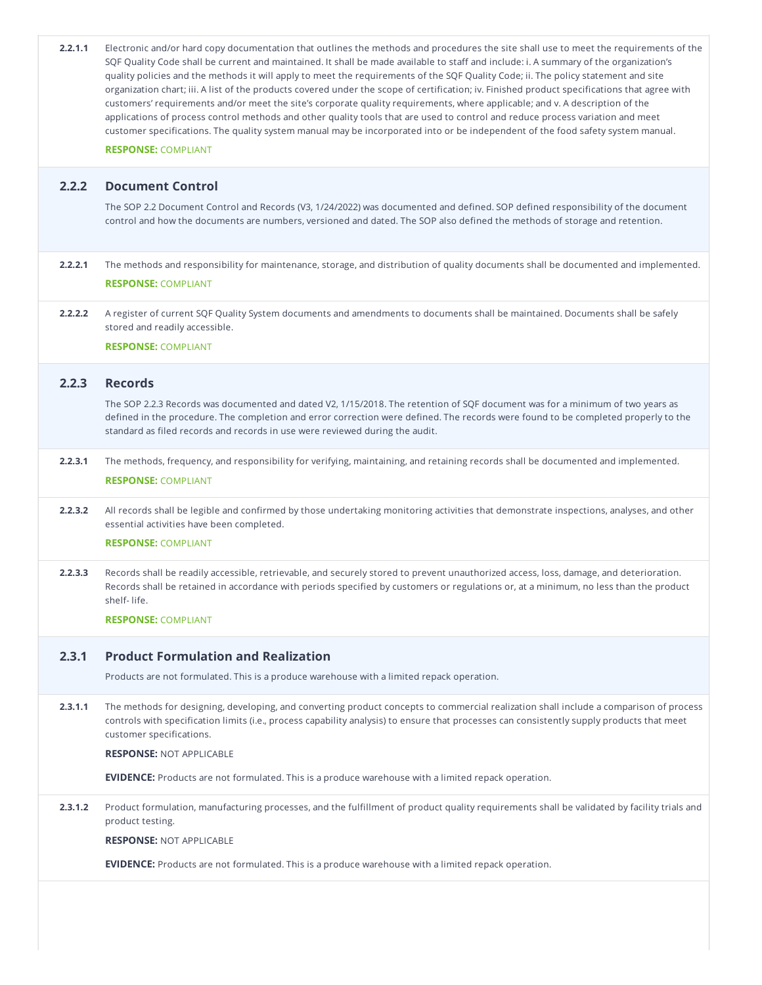| 2.2.2   | <b>Document Control</b><br>The SOP 2.2 Document Control and Records (V3, 1/24/2022) was documented and defined. SOP defined responsibility of the document                                                                                                                                                                                          |
|---------|-----------------------------------------------------------------------------------------------------------------------------------------------------------------------------------------------------------------------------------------------------------------------------------------------------------------------------------------------------|
|         |                                                                                                                                                                                                                                                                                                                                                     |
|         | control and how the documents are numbers, versioned and dated. The SOP also defined the methods of storage and retention.                                                                                                                                                                                                                          |
| 2.2.2.1 | The methods and responsibility for maintenance, storage, and distribution of quality documents shall be documented and implemented.<br><b>RESPONSE: COMPLIANT</b>                                                                                                                                                                                   |
| 2.2.2.2 | A register of current SQF Quality System documents and amendments to documents shall be maintained. Documents shall be safely<br>stored and readily accessible.                                                                                                                                                                                     |
|         | <b>RESPONSE: COMPLIANT</b>                                                                                                                                                                                                                                                                                                                          |
| 2.2.3   | <b>Records</b>                                                                                                                                                                                                                                                                                                                                      |
|         | The SOP 2.2.3 Records was documented and dated V2, 1/15/2018. The retention of SQF document was for a minimum of two years as<br>defined in the procedure. The completion and error correction were defined. The records were found to be completed properly to the<br>standard as filed records and records in use were reviewed during the audit. |
| 2.2.3.1 | The methods, frequency, and responsibility for verifying, maintaining, and retaining records shall be documented and implemented.<br><b>RESPONSE: COMPLIANT</b>                                                                                                                                                                                     |
| 2.2.3.2 | All records shall be legible and confirmed by those undertaking monitoring activities that demonstrate inspections, analyses, and other<br>essential activities have been completed.<br><b>RESPONSE: COMPLIANT</b>                                                                                                                                  |
| 2.2.3.3 | Records shall be readily accessible, retrievable, and securely stored to prevent unauthorized access, loss, damage, and deterioration.<br>Records shall be retained in accordance with periods specified by customers or regulations or, at a minimum, no less than the product<br>shelf-life.<br><b>RESPONSE: COMPLIANT</b>                        |
| 2.3.1   | <b>Product Formulation and Realization</b>                                                                                                                                                                                                                                                                                                          |
|         | Products are not formulated. This is a produce warehouse with a limited repack operation.                                                                                                                                                                                                                                                           |
| 2.3.1.1 | The methods for designing, developing, and converting product concepts to commercial realization shall include a comparison of process<br>controls with specification limits (i.e., process capability analysis) to ensure that processes can consistently supply products that meet<br>customer specifications.                                    |
|         | <b>RESPONSE: NOT APPLICABLE</b>                                                                                                                                                                                                                                                                                                                     |
|         | <b>EVIDENCE:</b> Products are not formulated. This is a produce warehouse with a limited repack operation.                                                                                                                                                                                                                                          |
| 2.3.1.2 | Product formulation, manufacturing processes, and the fulfillment of product quality requirements shall be validated by facility trials and<br>product testing.                                                                                                                                                                                     |
|         | <b>RESPONSE: NOT APPLICABLE</b>                                                                                                                                                                                                                                                                                                                     |
|         | <b>EVIDENCE:</b> Products are not formulated. This is a produce warehouse with a limited repack operation.                                                                                                                                                                                                                                          |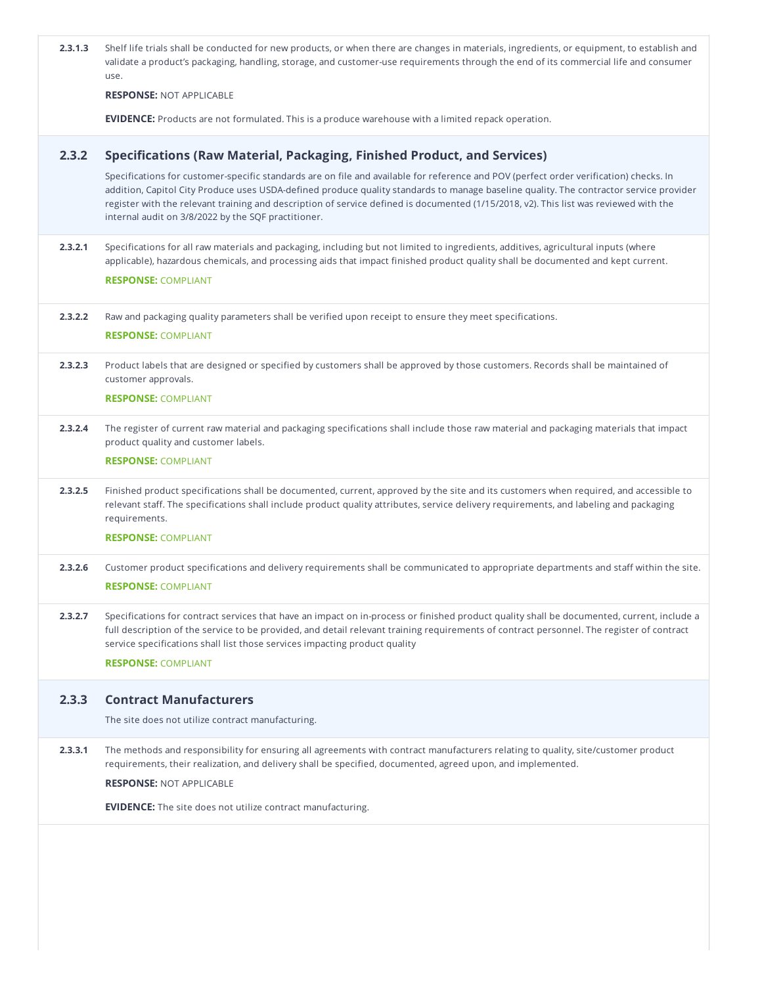| 2.3.1.3 | Shelf life trials shall be conducted for new products, or when there are changes in materials, ingredients, or equipment, to establish and<br>validate a product's packaging, handling, storage, and customer-use requirements through the end of its commercial life and consumer<br>use.                                                                                                                                                                                       |
|---------|----------------------------------------------------------------------------------------------------------------------------------------------------------------------------------------------------------------------------------------------------------------------------------------------------------------------------------------------------------------------------------------------------------------------------------------------------------------------------------|
|         | <b>RESPONSE: NOT APPLICABLE</b>                                                                                                                                                                                                                                                                                                                                                                                                                                                  |
|         | <b>EVIDENCE:</b> Products are not formulated. This is a produce warehouse with a limited repack operation.                                                                                                                                                                                                                                                                                                                                                                       |
| 2.3.2   | Specifications (Raw Material, Packaging, Finished Product, and Services)                                                                                                                                                                                                                                                                                                                                                                                                         |
|         | Specifications for customer-specific standards are on file and available for reference and POV (perfect order verification) checks. In<br>addition, Capitol City Produce uses USDA-defined produce quality standards to manage baseline quality. The contractor service provider<br>register with the relevant training and description of service defined is documented (1/15/2018, v2). This list was reviewed with the<br>internal audit on 3/8/2022 by the SQF practitioner. |
| 2.3.2.1 | Specifications for all raw materials and packaging, including but not limited to ingredients, additives, agricultural inputs (where<br>applicable), hazardous chemicals, and processing aids that impact finished product quality shall be documented and kept current.<br><b>RESPONSE: COMPLIANT</b>                                                                                                                                                                            |
| 2.3.2.2 | Raw and packaging quality parameters shall be verified upon receipt to ensure they meet specifications.<br><b>RESPONSE: COMPLIANT</b>                                                                                                                                                                                                                                                                                                                                            |
| 2.3.2.3 | Product labels that are designed or specified by customers shall be approved by those customers. Records shall be maintained of<br>customer approvals.                                                                                                                                                                                                                                                                                                                           |
|         | <b>RESPONSE: COMPLIANT</b>                                                                                                                                                                                                                                                                                                                                                                                                                                                       |
| 2.3.2.4 | The register of current raw material and packaging specifications shall include those raw material and packaging materials that impact<br>product quality and customer labels.                                                                                                                                                                                                                                                                                                   |
|         | <b>RESPONSE: COMPLIANT</b>                                                                                                                                                                                                                                                                                                                                                                                                                                                       |
| 2.3.2.5 | Finished product specifications shall be documented, current, approved by the site and its customers when required, and accessible to<br>relevant staff. The specifications shall include product quality attributes, service delivery requirements, and labeling and packaging<br>requirements.                                                                                                                                                                                 |
|         | <b>RESPONSE: COMPLIANT</b>                                                                                                                                                                                                                                                                                                                                                                                                                                                       |
| 2.3.2.6 | Customer product specifications and delivery requirements shall be communicated to appropriate departments and staff within the site.                                                                                                                                                                                                                                                                                                                                            |
|         | <b>RESPONSE: COMPLIANT</b>                                                                                                                                                                                                                                                                                                                                                                                                                                                       |
| 2.3.2.7 | Specifications for contract services that have an impact on in-process or finished product quality shall be documented, current, include a<br>full description of the service to be provided, and detail relevant training requirements of contract personnel. The register of contract<br>service specifications shall list those services impacting product quality                                                                                                            |
|         | <b>RESPONSE: COMPLIANT</b>                                                                                                                                                                                                                                                                                                                                                                                                                                                       |
| 2.3.3   | <b>Contract Manufacturers</b>                                                                                                                                                                                                                                                                                                                                                                                                                                                    |
|         | The site does not utilize contract manufacturing.                                                                                                                                                                                                                                                                                                                                                                                                                                |
| 2.3.3.1 | The methods and responsibility for ensuring all agreements with contract manufacturers relating to quality, site/customer product                                                                                                                                                                                                                                                                                                                                                |
|         | requirements, their realization, and delivery shall be specified, documented, agreed upon, and implemented.<br><b>RESPONSE: NOT APPLICABLE</b>                                                                                                                                                                                                                                                                                                                                   |
|         | <b>EVIDENCE:</b> The site does not utilize contract manufacturing.                                                                                                                                                                                                                                                                                                                                                                                                               |
|         |                                                                                                                                                                                                                                                                                                                                                                                                                                                                                  |
|         |                                                                                                                                                                                                                                                                                                                                                                                                                                                                                  |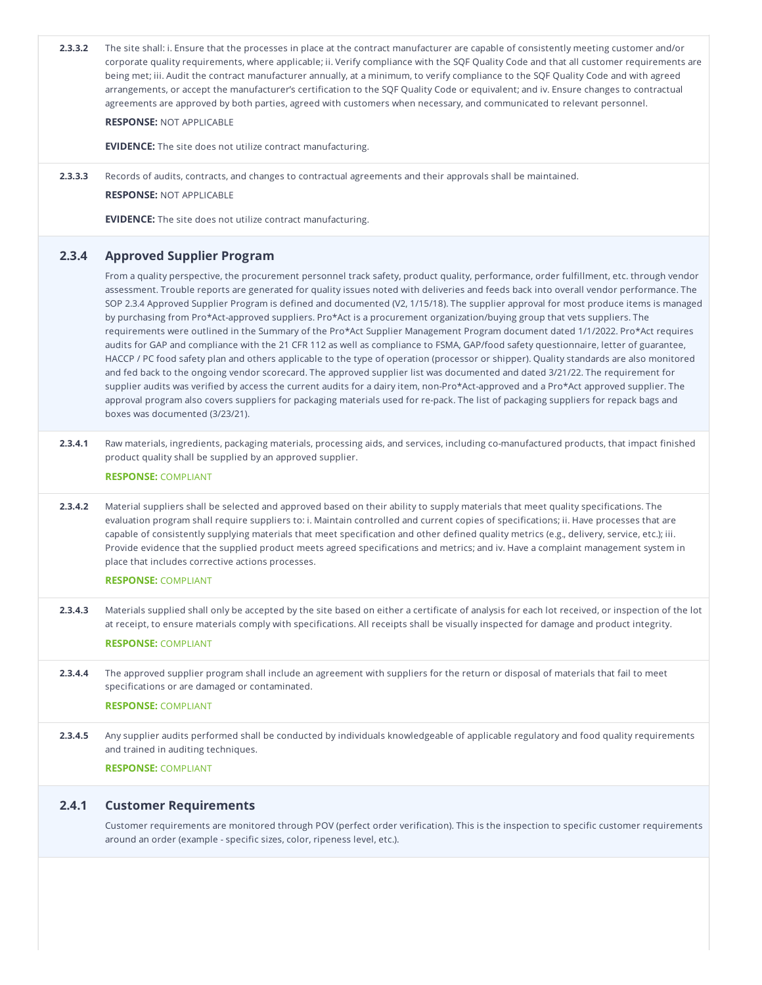| 2.3.3.2 | The site shall: i. Ensure that the processes in place at the contract manufacturer are capable of consistently meeting customer and/or<br>corporate quality requirements, where applicable; ii. Verify compliance with the SQF Quality Code and that all customer requirements are<br>being met; iii. Audit the contract manufacturer annually, at a minimum, to verify compliance to the SQF Quality Code and with agreed<br>arrangements, or accept the manufacturer's certification to the SQF Quality Code or equivalent; and iv. Ensure changes to contractual<br>agreements are approved by both parties, agreed with customers when necessary, and communicated to relevant personnel.<br><b>RESPONSE: NOT APPLICABLE</b>                                                                                                                                                                                                                                                                                                                                                                                                                                                                                                                                                                                                                                                                                                                                        |
|---------|-------------------------------------------------------------------------------------------------------------------------------------------------------------------------------------------------------------------------------------------------------------------------------------------------------------------------------------------------------------------------------------------------------------------------------------------------------------------------------------------------------------------------------------------------------------------------------------------------------------------------------------------------------------------------------------------------------------------------------------------------------------------------------------------------------------------------------------------------------------------------------------------------------------------------------------------------------------------------------------------------------------------------------------------------------------------------------------------------------------------------------------------------------------------------------------------------------------------------------------------------------------------------------------------------------------------------------------------------------------------------------------------------------------------------------------------------------------------------|
|         | <b>EVIDENCE:</b> The site does not utilize contract manufacturing.                                                                                                                                                                                                                                                                                                                                                                                                                                                                                                                                                                                                                                                                                                                                                                                                                                                                                                                                                                                                                                                                                                                                                                                                                                                                                                                                                                                                      |
|         |                                                                                                                                                                                                                                                                                                                                                                                                                                                                                                                                                                                                                                                                                                                                                                                                                                                                                                                                                                                                                                                                                                                                                                                                                                                                                                                                                                                                                                                                         |
| 2.3.3.3 | Records of audits, contracts, and changes to contractual agreements and their approvals shall be maintained.<br><b>RESPONSE: NOT APPLICABLE</b>                                                                                                                                                                                                                                                                                                                                                                                                                                                                                                                                                                                                                                                                                                                                                                                                                                                                                                                                                                                                                                                                                                                                                                                                                                                                                                                         |
|         | <b>EVIDENCE:</b> The site does not utilize contract manufacturing.                                                                                                                                                                                                                                                                                                                                                                                                                                                                                                                                                                                                                                                                                                                                                                                                                                                                                                                                                                                                                                                                                                                                                                                                                                                                                                                                                                                                      |
| 2.3.4   |                                                                                                                                                                                                                                                                                                                                                                                                                                                                                                                                                                                                                                                                                                                                                                                                                                                                                                                                                                                                                                                                                                                                                                                                                                                                                                                                                                                                                                                                         |
|         | <b>Approved Supplier Program</b><br>From a quality perspective, the procurement personnel track safety, product quality, performance, order fulfillment, etc. through vendor<br>assessment. Trouble reports are generated for quality issues noted with deliveries and feeds back into overall vendor performance. The<br>SOP 2.3.4 Approved Supplier Program is defined and documented (V2, 1/15/18). The supplier approval for most produce items is managed<br>by purchasing from Pro*Act-approved suppliers. Pro*Act is a procurement organization/buying group that vets suppliers. The<br>requirements were outlined in the Summary of the Pro*Act Supplier Management Program document dated 1/1/2022. Pro*Act requires<br>audits for GAP and compliance with the 21 CFR 112 as well as compliance to FSMA, GAP/food safety questionnaire, letter of guarantee,<br>HACCP / PC food safety plan and others applicable to the type of operation (processor or shipper). Quality standards are also monitored<br>and fed back to the ongoing vendor scorecard. The approved supplier list was documented and dated 3/21/22. The requirement for<br>supplier audits was verified by access the current audits for a dairy item, non-Pro*Act-approved and a Pro*Act approved supplier. The<br>approval program also covers suppliers for packaging materials used for re-pack. The list of packaging suppliers for repack bags and<br>boxes was documented (3/23/21). |
| 2.3.4.1 | Raw materials, ingredients, packaging materials, processing aids, and services, including co-manufactured products, that impact finished<br>product quality shall be supplied by an approved supplier.<br><b>RESPONSE: COMPLIANT</b>                                                                                                                                                                                                                                                                                                                                                                                                                                                                                                                                                                                                                                                                                                                                                                                                                                                                                                                                                                                                                                                                                                                                                                                                                                    |
| 2.3.4.2 | Material suppliers shall be selected and approved based on their ability to supply materials that meet quality specifications. The<br>evaluation program shall require suppliers to: i. Maintain controlled and current copies of specifications; ii. Have processes that are<br>capable of consistently supplying materials that meet specification and other defined quality metrics (e.g., delivery, service, etc.); iii.<br>Provide evidence that the supplied product meets agreed specifications and metrics; and iv. Have a complaint management system in<br>place that includes corrective actions processes.<br><b>RESPONSE: COMPLIANT</b>                                                                                                                                                                                                                                                                                                                                                                                                                                                                                                                                                                                                                                                                                                                                                                                                                    |
| 2.3.4.3 | Materials supplied shall only be accepted by the site based on either a certificate of analysis for each lot received, or inspection of the lot<br>at receipt, to ensure materials comply with specifications. All receipts shall be visually inspected for damage and product integrity.<br><b>RESPONSE: COMPLIANT</b>                                                                                                                                                                                                                                                                                                                                                                                                                                                                                                                                                                                                                                                                                                                                                                                                                                                                                                                                                                                                                                                                                                                                                 |
| 2.3.4.4 | The approved supplier program shall include an agreement with suppliers for the return or disposal of materials that fail to meet<br>specifications or are damaged or contaminated.                                                                                                                                                                                                                                                                                                                                                                                                                                                                                                                                                                                                                                                                                                                                                                                                                                                                                                                                                                                                                                                                                                                                                                                                                                                                                     |
|         | <b>RESPONSE: COMPLIANT</b>                                                                                                                                                                                                                                                                                                                                                                                                                                                                                                                                                                                                                                                                                                                                                                                                                                                                                                                                                                                                                                                                                                                                                                                                                                                                                                                                                                                                                                              |
| 2.3.4.5 | Any supplier audits performed shall be conducted by individuals knowledgeable of applicable regulatory and food quality requirements<br>and trained in auditing techniques.                                                                                                                                                                                                                                                                                                                                                                                                                                                                                                                                                                                                                                                                                                                                                                                                                                                                                                                                                                                                                                                                                                                                                                                                                                                                                             |
|         | <b>RESPONSE: COMPLIANT</b>                                                                                                                                                                                                                                                                                                                                                                                                                                                                                                                                                                                                                                                                                                                                                                                                                                                                                                                                                                                                                                                                                                                                                                                                                                                                                                                                                                                                                                              |
| 2.4.1   | <b>Customer Requirements</b>                                                                                                                                                                                                                                                                                                                                                                                                                                                                                                                                                                                                                                                                                                                                                                                                                                                                                                                                                                                                                                                                                                                                                                                                                                                                                                                                                                                                                                            |
|         | Customer requirements are monitored through POV (perfect order verification). This is the inspection to specific customer requirements<br>around an order (example - specific sizes, color, ripeness level, etc.).                                                                                                                                                                                                                                                                                                                                                                                                                                                                                                                                                                                                                                                                                                                                                                                                                                                                                                                                                                                                                                                                                                                                                                                                                                                      |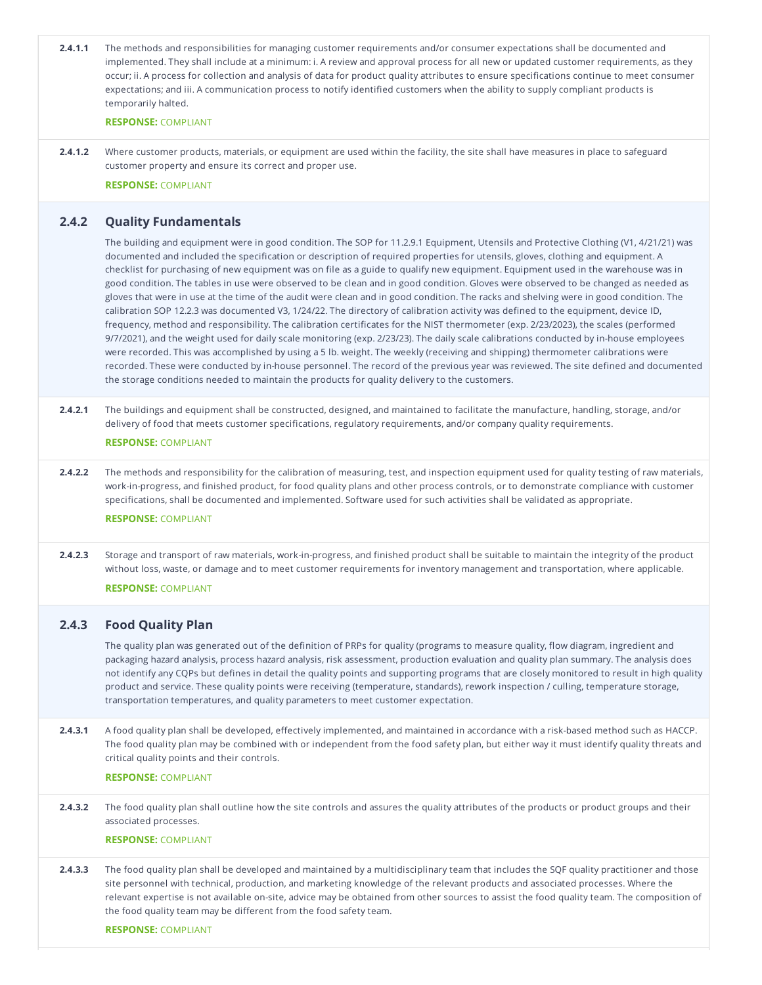| 2.4.1.1 | The methods and responsibilities for managing customer requirements and/or consumer expectations shall be documented and<br>implemented. They shall include at a minimum: i. A review and approval process for all new or updated customer requirements, as they<br>occur; ii. A process for collection and analysis of data for product quality attributes to ensure specifications continue to meet consumer<br>expectations; and iii. A communication process to notify identified customers when the ability to supply compliant products is<br>temporarily halted.                                                                                                                                                                                                                                                                                                                                                                                                                                                                                                                                                                                                                                                                                                                                                                                                                                                                                                                       |
|---------|-----------------------------------------------------------------------------------------------------------------------------------------------------------------------------------------------------------------------------------------------------------------------------------------------------------------------------------------------------------------------------------------------------------------------------------------------------------------------------------------------------------------------------------------------------------------------------------------------------------------------------------------------------------------------------------------------------------------------------------------------------------------------------------------------------------------------------------------------------------------------------------------------------------------------------------------------------------------------------------------------------------------------------------------------------------------------------------------------------------------------------------------------------------------------------------------------------------------------------------------------------------------------------------------------------------------------------------------------------------------------------------------------------------------------------------------------------------------------------------------------|
|         | <b>RESPONSE: COMPLIANT</b>                                                                                                                                                                                                                                                                                                                                                                                                                                                                                                                                                                                                                                                                                                                                                                                                                                                                                                                                                                                                                                                                                                                                                                                                                                                                                                                                                                                                                                                                    |
| 2.4.1.2 | Where customer products, materials, or equipment are used within the facility, the site shall have measures in place to safeguard<br>customer property and ensure its correct and proper use.                                                                                                                                                                                                                                                                                                                                                                                                                                                                                                                                                                                                                                                                                                                                                                                                                                                                                                                                                                                                                                                                                                                                                                                                                                                                                                 |
|         | <b>RESPONSE: COMPLIANT</b>                                                                                                                                                                                                                                                                                                                                                                                                                                                                                                                                                                                                                                                                                                                                                                                                                                                                                                                                                                                                                                                                                                                                                                                                                                                                                                                                                                                                                                                                    |
| 2.4.2   | <b>Quality Fundamentals</b>                                                                                                                                                                                                                                                                                                                                                                                                                                                                                                                                                                                                                                                                                                                                                                                                                                                                                                                                                                                                                                                                                                                                                                                                                                                                                                                                                                                                                                                                   |
|         | The building and equipment were in good condition. The SOP for 11.2.9.1 Equipment, Utensils and Protective Clothing (V1, 4/21/21) was<br>documented and included the specification or description of required properties for utensils, gloves, clothing and equipment. A<br>checklist for purchasing of new equipment was on file as a guide to qualify new equipment. Equipment used in the warehouse was in<br>good condition. The tables in use were observed to be clean and in good condition. Gloves were observed to be changed as needed as<br>gloves that were in use at the time of the audit were clean and in good condition. The racks and shelving were in good condition. The<br>calibration SOP 12.2.3 was documented V3, 1/24/22. The directory of calibration activity was defined to the equipment, device ID,<br>frequency, method and responsibility. The calibration certificates for the NIST thermometer (exp. 2/23/2023), the scales (performed<br>9/7/2021), and the weight used for daily scale monitoring (exp. 2/23/23). The daily scale calibrations conducted by in-house employees<br>were recorded. This was accomplished by using a 5 lb. weight. The weekly (receiving and shipping) thermometer calibrations were<br>recorded. These were conducted by in-house personnel. The record of the previous year was reviewed. The site defined and documented<br>the storage conditions needed to maintain the products for quality delivery to the customers. |
| 2.4.2.1 | The buildings and equipment shall be constructed, designed, and maintained to facilitate the manufacture, handling, storage, and/or<br>delivery of food that meets customer specifications, regulatory requirements, and/or company quality requirements.                                                                                                                                                                                                                                                                                                                                                                                                                                                                                                                                                                                                                                                                                                                                                                                                                                                                                                                                                                                                                                                                                                                                                                                                                                     |
|         | <b>RESPONSE: COMPLIANT</b>                                                                                                                                                                                                                                                                                                                                                                                                                                                                                                                                                                                                                                                                                                                                                                                                                                                                                                                                                                                                                                                                                                                                                                                                                                                                                                                                                                                                                                                                    |
| 2.4.2.2 | The methods and responsibility for the calibration of measuring, test, and inspection equipment used for quality testing of raw materials,<br>work-in-progress, and finished product, for food quality plans and other process controls, or to demonstrate compliance with customer<br>specifications, shall be documented and implemented. Software used for such activities shall be validated as appropriate.                                                                                                                                                                                                                                                                                                                                                                                                                                                                                                                                                                                                                                                                                                                                                                                                                                                                                                                                                                                                                                                                              |
|         | <b>RESPONSE: COMPLIANT</b>                                                                                                                                                                                                                                                                                                                                                                                                                                                                                                                                                                                                                                                                                                                                                                                                                                                                                                                                                                                                                                                                                                                                                                                                                                                                                                                                                                                                                                                                    |
| 2.4.2.3 | Storage and transport of raw materials, work-in-progress, and finished product shall be suitable to maintain the integrity of the product<br>without loss, waste, or damage and to meet customer requirements for inventory management and transportation, where applicable.<br><b>RESPONSE: COMPLIANT</b>                                                                                                                                                                                                                                                                                                                                                                                                                                                                                                                                                                                                                                                                                                                                                                                                                                                                                                                                                                                                                                                                                                                                                                                    |
| 2.4.3   |                                                                                                                                                                                                                                                                                                                                                                                                                                                                                                                                                                                                                                                                                                                                                                                                                                                                                                                                                                                                                                                                                                                                                                                                                                                                                                                                                                                                                                                                                               |
|         | <b>Food Quality Plan</b><br>The quality plan was generated out of the definition of PRPs for quality (programs to measure quality, flow diagram, ingredient and<br>packaging hazard analysis, process hazard analysis, risk assessment, production evaluation and quality plan summary. The analysis does<br>not identify any CQPs but defines in detail the quality points and supporting programs that are closely monitored to result in high quality<br>product and service. These quality points were receiving (temperature, standards), rework inspection / culling, temperature storage,<br>transportation temperatures, and quality parameters to meet customer expectation.                                                                                                                                                                                                                                                                                                                                                                                                                                                                                                                                                                                                                                                                                                                                                                                                         |
| 2.4.3.1 | A food quality plan shall be developed, effectively implemented, and maintained in accordance with a risk-based method such as HACCP.<br>The food quality plan may be combined with or independent from the food safety plan, but either way it must identify quality threats and<br>critical quality points and their controls.                                                                                                                                                                                                                                                                                                                                                                                                                                                                                                                                                                                                                                                                                                                                                                                                                                                                                                                                                                                                                                                                                                                                                              |
|         | <b>RESPONSE: COMPLIANT</b>                                                                                                                                                                                                                                                                                                                                                                                                                                                                                                                                                                                                                                                                                                                                                                                                                                                                                                                                                                                                                                                                                                                                                                                                                                                                                                                                                                                                                                                                    |
| 2.4.3.2 | The food quality plan shall outline how the site controls and assures the quality attributes of the products or product groups and their<br>associated processes.                                                                                                                                                                                                                                                                                                                                                                                                                                                                                                                                                                                                                                                                                                                                                                                                                                                                                                                                                                                                                                                                                                                                                                                                                                                                                                                             |
|         | <b>RESPONSE: COMPLIANT</b>                                                                                                                                                                                                                                                                                                                                                                                                                                                                                                                                                                                                                                                                                                                                                                                                                                                                                                                                                                                                                                                                                                                                                                                                                                                                                                                                                                                                                                                                    |
| 2.4.3.3 | The food quality plan shall be developed and maintained by a multidisciplinary team that includes the SQF quality practitioner and those<br>site personnel with technical, production, and marketing knowledge of the relevant products and associated processes. Where the<br>relevant expertise is not available on-site, advice may be obtained from other sources to assist the food quality team. The composition of<br>the food quality team may be different from the food safety team.                                                                                                                                                                                                                                                                                                                                                                                                                                                                                                                                                                                                                                                                                                                                                                                                                                                                                                                                                                                                |
|         | <b>RESPONSE: COMPLIANT</b>                                                                                                                                                                                                                                                                                                                                                                                                                                                                                                                                                                                                                                                                                                                                                                                                                                                                                                                                                                                                                                                                                                                                                                                                                                                                                                                                                                                                                                                                    |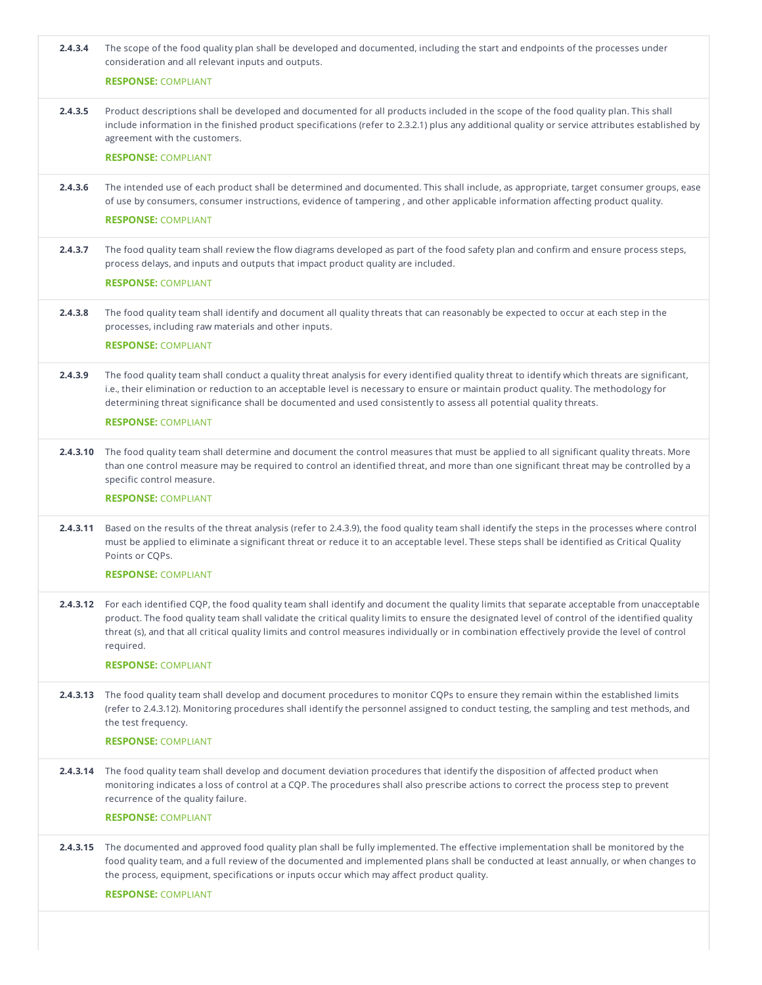| 2.4.3.4  | The scope of the food quality plan shall be developed and documented, including the start and endpoints of the processes under<br>consideration and all relevant inputs and outputs.                                                                                                                                                                                                                                                                    |
|----------|---------------------------------------------------------------------------------------------------------------------------------------------------------------------------------------------------------------------------------------------------------------------------------------------------------------------------------------------------------------------------------------------------------------------------------------------------------|
|          | <b>RESPONSE: COMPLIANT</b>                                                                                                                                                                                                                                                                                                                                                                                                                              |
| 2.4.3.5  | Product descriptions shall be developed and documented for all products included in the scope of the food quality plan. This shall<br>include information in the finished product specifications (refer to 2.3.2.1) plus any additional quality or service attributes established by<br>agreement with the customers.                                                                                                                                   |
|          | <b>RESPONSE: COMPLIANT</b>                                                                                                                                                                                                                                                                                                                                                                                                                              |
| 2.4.3.6  | The intended use of each product shall be determined and documented. This shall include, as appropriate, target consumer groups, ease<br>of use by consumers, consumer instructions, evidence of tampering, and other applicable information affecting product quality.                                                                                                                                                                                 |
|          | <b>RESPONSE: COMPLIANT</b>                                                                                                                                                                                                                                                                                                                                                                                                                              |
| 2.4.3.7  | The food quality team shall review the flow diagrams developed as part of the food safety plan and confirm and ensure process steps,<br>process delays, and inputs and outputs that impact product quality are included.                                                                                                                                                                                                                                |
|          | <b>RESPONSE: COMPLIANT</b>                                                                                                                                                                                                                                                                                                                                                                                                                              |
| 2.4.3.8  | The food quality team shall identify and document all quality threats that can reasonably be expected to occur at each step in the<br>processes, including raw materials and other inputs.                                                                                                                                                                                                                                                              |
|          | <b>RESPONSE: COMPLIANT</b>                                                                                                                                                                                                                                                                                                                                                                                                                              |
| 2.4.3.9  | The food quality team shall conduct a quality threat analysis for every identified quality threat to identify which threats are significant,<br>i.e., their elimination or reduction to an acceptable level is necessary to ensure or maintain product quality. The methodology for<br>determining threat significance shall be documented and used consistently to assess all potential quality threats.                                               |
|          | <b>RESPONSE: COMPLIANT</b>                                                                                                                                                                                                                                                                                                                                                                                                                              |
| 2.4.3.10 | The food quality team shall determine and document the control measures that must be applied to all significant quality threats. More<br>than one control measure may be required to control an identified threat, and more than one significant threat may be controlled by a<br>specific control measure.                                                                                                                                             |
|          | <b>RESPONSE: COMPLIANT</b>                                                                                                                                                                                                                                                                                                                                                                                                                              |
| 2.4.3.11 | Based on the results of the threat analysis (refer to 2.4.3.9), the food quality team shall identify the steps in the processes where control<br>must be applied to eliminate a significant threat or reduce it to an acceptable level. These steps shall be identified as Critical Quality<br>Points or CQPs.                                                                                                                                          |
|          | <b>RESPONSE: COMPLIANT</b>                                                                                                                                                                                                                                                                                                                                                                                                                              |
| 2.4.3.12 | For each identified CQP, the food quality team shall identify and document the quality limits that separate acceptable from unacceptable<br>product. The food quality team shall validate the critical quality limits to ensure the designated level of control of the identified quality<br>threat (s), and that all critical quality limits and control measures individually or in combination effectively provide the level of control<br>required. |
|          | <b>RESPONSE: COMPLIANT</b>                                                                                                                                                                                                                                                                                                                                                                                                                              |
|          | 2.4.3.13 The food quality team shall develop and document procedures to monitor CQPs to ensure they remain within the established limits<br>(refer to 2.4.3.12). Monitoring procedures shall identify the personnel assigned to conduct testing, the sampling and test methods, and<br>the test frequency.                                                                                                                                              |
|          | <b>RESPONSE: COMPLIANT</b>                                                                                                                                                                                                                                                                                                                                                                                                                              |
| 2.4.3.14 | The food quality team shall develop and document deviation procedures that identify the disposition of affected product when<br>monitoring indicates a loss of control at a CQP. The procedures shall also prescribe actions to correct the process step to prevent<br>recurrence of the quality failure.                                                                                                                                               |
|          | <b>RESPONSE: COMPLIANT</b>                                                                                                                                                                                                                                                                                                                                                                                                                              |
| 2.4.3.15 | The documented and approved food quality plan shall be fully implemented. The effective implementation shall be monitored by the<br>food quality team, and a full review of the documented and implemented plans shall be conducted at least annually, or when changes to<br>the process, equipment, specifications or inputs occur which may affect product quality.                                                                                   |
|          | <b>RESPONSE: COMPLIANT</b>                                                                                                                                                                                                                                                                                                                                                                                                                              |
|          |                                                                                                                                                                                                                                                                                                                                                                                                                                                         |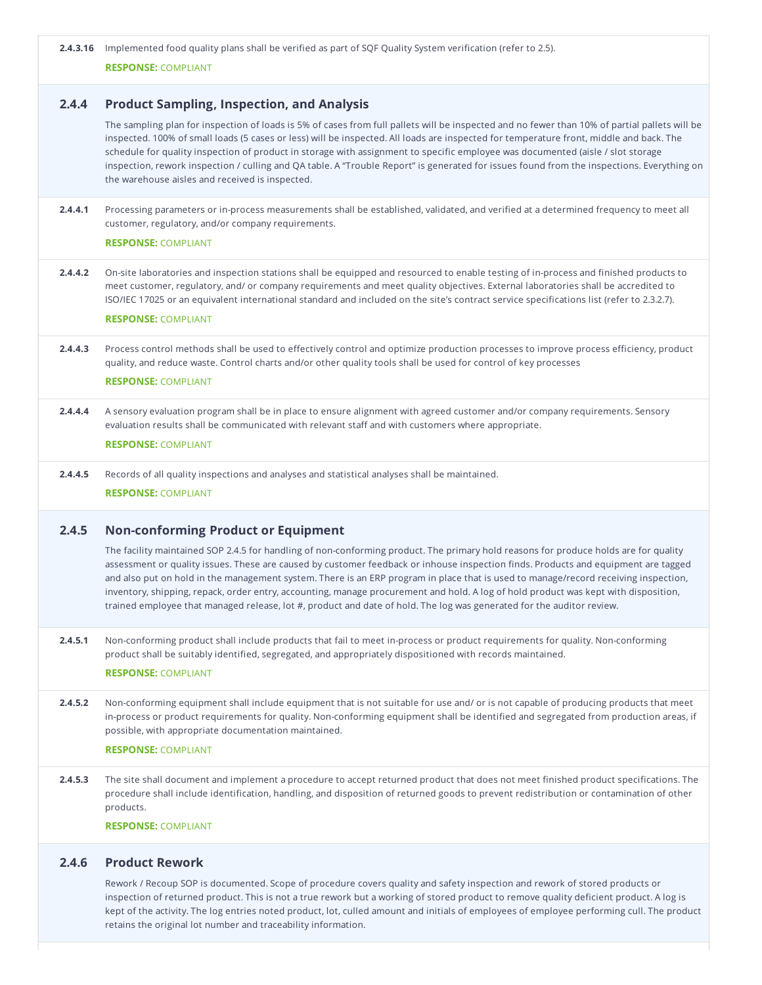**2.4.3.16** Implemented food quality plans shall be verified as part of SQF Quality System verification (refer to 2.5).

**RESPONSE:** COMPLIANT

# **2.4.4 Product Sampling, Inspection, and Analysis**

The sampling plan for inspection of loads is 5% of cases from full pallets will be inspected and no fewer than 10% of partial pallets will be inspected. 100% of small loads (5 cases or less) will be inspected. All loads are inspected for temperature front, middle and back. The schedule for quality inspection of product in storage with assignment to specific employee was documented (aisle / slot storage inspection, rework inspection / culling and QA table. A "Trouble Report" is generated for issues found from the inspections. Everything on the warehouse aisles and received is inspected.

**2.4.4.1** Processing parameters or in-process measurements shall be established, validated, and verified at a determined frequency to meet all customer, regulatory, and/or company requirements.

### **RESPONSE:** COMPLIANT

**2.4.4.2** On-site laboratories and inspection stations shall be equipped and resourced to enable testing of in-process and finished products to meet customer, regulatory, and/ or company requirements and meet quality objectives. External laboratories shall be accredited to ISO/IEC 17025 or an equivalent international standard and included on the site's contract service specifications list (refer to 2.3.2.7).

# **RESPONSE:** COMPLIANT

**2.4.4.3** Process control methods shall be used to effectively control and optimize production processes to improve process efficiency, product quality, and reduce waste. Control charts and/or other quality tools shall be used for control of key processes

# **RESPONSE:** COMPLIANT

**2.4.4.4** A sensory evaluation program shall be in place to ensure alignment with agreed customer and/or company requirements. Sensory evaluation results shall be communicated with relevant staff and with customers where appropriate.

### **RESPONSE:** COMPLIANT

**2.4.4.5** Records of all quality inspections and analyses and statistical analyses shall be maintained.

**RESPONSE:** COMPLIANT

## **2.4.5 Non-conforming Product or Equipment**

The facility maintained SOP 2.4.5 for handling of non-conforming product. The primary hold reasons for produce holds are for quality assessment or quality issues. These are caused by customer feedback or inhouse inspection finds. Products and equipment are tagged and also put on hold in the management system. There is an ERP program in place that is used to manage/record receiving inspection, inventory, shipping, repack, order entry, accounting, manage procurement and hold. A log of hold product was kept with disposition, trained employee that managed release, lot #, product and date of hold. The log was generated for the auditor review.

**2.4.5.1** Non-conforming product shall include products that fail to meet in-process or product requirements for quality. Non-conforming product shall be suitably identified, segregated, and appropriately dispositioned with records maintained.

#### **RESPONSE:** COMPLIANT

**2.4.5.2** Non-conforming equipment shall include equipment that is not suitable for use and/ or is not capable of producing products that meet in-process or product requirements for quality. Non-conforming equipment shall be identified and segregated from production areas, if possible, with appropriate documentation maintained.

#### **RESPONSE:** COMPLIANT

**2.4.5.3** The site shall document and implement a procedure to accept returned product that does not meet finished product specifications. The procedure shall include identification, handling, and disposition of returned goods to prevent redistribution or contamination of other products.

**RESPONSE:** COMPLIANT

### **2.4.6 Product Rework**

Rework / Recoup SOP is documented. Scope of procedure covers quality and safety inspection and rework of stored products or inspection of returned product. This is not a true rework but a working of stored product to remove quality deficient product. A log is kept of the activity. The log entries noted product, lot, culled amount and initials of employees of employee performing cull. The product retains the original lot number and traceability information.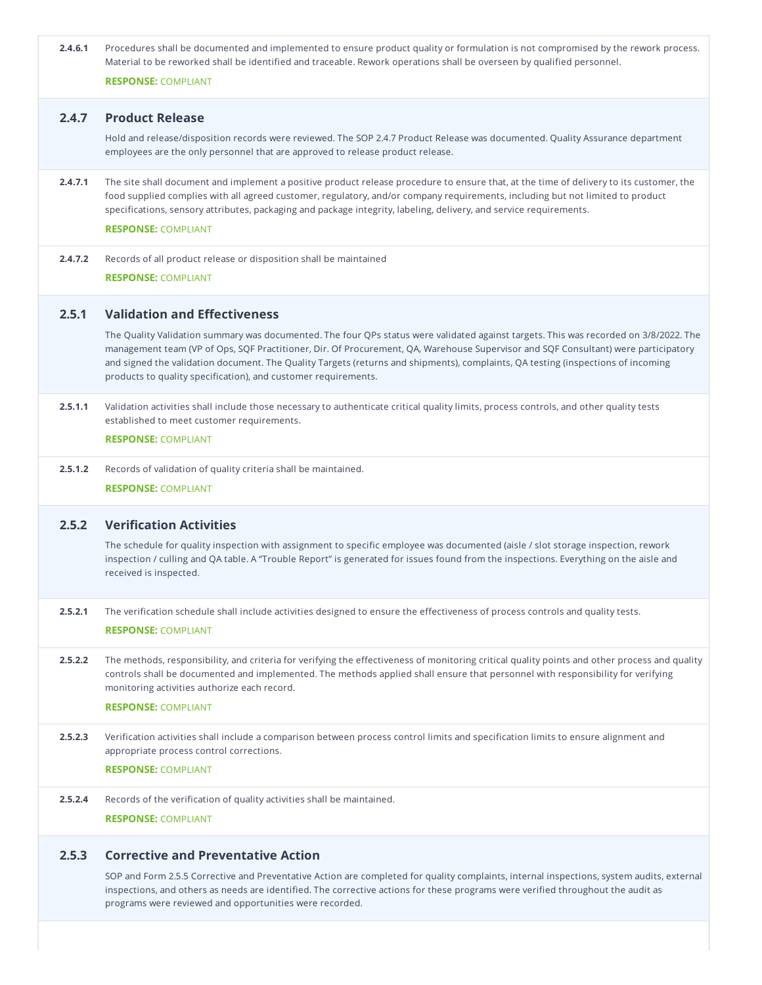| 2.4.6.1 | Procedures shall be documented and implemented to ensure product quality or formulation is not compromised by the rework process.<br>Material to be reworked shall be identified and traceable. Rework operations shall be overseen by qualified personnel.<br><b>RESPONSE: COMPLIANT</b>                                                                                                                                                                                         |
|---------|-----------------------------------------------------------------------------------------------------------------------------------------------------------------------------------------------------------------------------------------------------------------------------------------------------------------------------------------------------------------------------------------------------------------------------------------------------------------------------------|
| 2.4.7   | <b>Product Release</b>                                                                                                                                                                                                                                                                                                                                                                                                                                                            |
|         | Hold and release/disposition records were reviewed. The SOP 2.4.7 Product Release was documented. Quality Assurance department<br>employees are the only personnel that are approved to release product release.                                                                                                                                                                                                                                                                  |
| 2.4.7.1 | The site shall document and implement a positive product release procedure to ensure that, at the time of delivery to its customer, the<br>food supplied complies with all agreed customer, regulatory, and/or company requirements, including but not limited to product<br>specifications, sensory attributes, packaging and package integrity, labeling, delivery, and service requirements.<br><b>RESPONSE: COMPLIANT</b>                                                     |
| 2.4.7.2 | Records of all product release or disposition shall be maintained<br><b>RESPONSE: COMPLIANT</b>                                                                                                                                                                                                                                                                                                                                                                                   |
| 2.5.1   | <b>Validation and Effectiveness</b>                                                                                                                                                                                                                                                                                                                                                                                                                                               |
|         | The Quality Validation summary was documented. The four QPs status were validated against targets. This was recorded on 3/8/2022. The<br>management team (VP of Ops, SQF Practitioner, Dir. Of Procurement, QA, Warehouse Supervisor and SQF Consultant) were participatory<br>and signed the validation document. The Quality Targets (returns and shipments), complaints, QA testing (inspections of incoming<br>products to quality specification), and customer requirements. |
| 2.5.1.1 | Validation activities shall include those necessary to authenticate critical quality limits, process controls, and other quality tests<br>established to meet customer requirements.                                                                                                                                                                                                                                                                                              |
|         | <b>RESPONSE: COMPLIANT</b>                                                                                                                                                                                                                                                                                                                                                                                                                                                        |
| 2.5.1.2 | Records of validation of quality criteria shall be maintained.                                                                                                                                                                                                                                                                                                                                                                                                                    |
|         | <b>RESPONSE: COMPLIANT</b>                                                                                                                                                                                                                                                                                                                                                                                                                                                        |
| 2.5.2   | <b>Verification Activities</b>                                                                                                                                                                                                                                                                                                                                                                                                                                                    |
|         | The schedule for quality inspection with assignment to specific employee was documented (aisle / slot storage inspection, rework<br>inspection / culling and QA table. A "Trouble Report" is generated for issues found from the inspections. Everything on the aisle and<br>received is inspected.                                                                                                                                                                               |
| 2.5.2.1 | The verification schedule shall include activities designed to ensure the effectiveness of process controls and quality tests.<br><b>RESPONSE: COMPLIANT</b>                                                                                                                                                                                                                                                                                                                      |
| 2.5.2.2 | The methods, responsibility, and criteria for verifying the effectiveness of monitoring critical quality points and other process and quality<br>controls shall be documented and implemented. The methods applied shall ensure that personnel with responsibility for verifying<br>monitoring activities authorize each record.                                                                                                                                                  |
|         | <b>RESPONSE: COMPLIANT</b>                                                                                                                                                                                                                                                                                                                                                                                                                                                        |
| 2.5.2.3 | Verification activities shall include a comparison between process control limits and specification limits to ensure alignment and<br>appropriate process control corrections.                                                                                                                                                                                                                                                                                                    |
|         | <b>RESPONSE: COMPLIANT</b>                                                                                                                                                                                                                                                                                                                                                                                                                                                        |
| 2.5.2.4 | Records of the verification of quality activities shall be maintained.                                                                                                                                                                                                                                                                                                                                                                                                            |
|         | <b>RESPONSE: COMPLIANT</b>                                                                                                                                                                                                                                                                                                                                                                                                                                                        |
| 2.5.3   | <b>Corrective and Preventative Action</b>                                                                                                                                                                                                                                                                                                                                                                                                                                         |
|         | SOP and Form 2.5.5 Corrective and Preventative Action are completed for quality complaints, internal inspections, system audits, external<br>inspections, and others as needs are identified. The corrective actions for these programs were verified throughout the audit as<br>programs were reviewed and opportunities were recorded.                                                                                                                                          |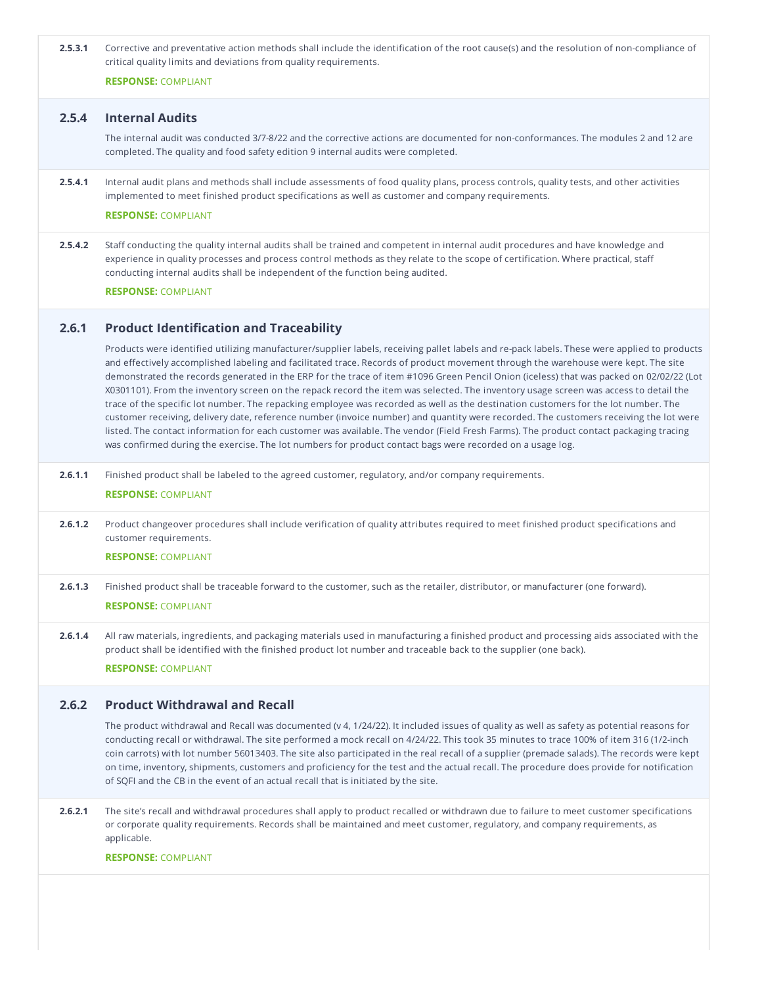| 2.5.3.1 | Corrective and preventative action methods shall include the identification of the root cause(s) and the resolution of non-compliance of<br>critical quality limits and deviations from quality requirements.                                                                                                                                                                                                                                                                                                                                                                                                                                                                                                                                                                                                                                                                                                                                                                                                                                                                                              |
|---------|------------------------------------------------------------------------------------------------------------------------------------------------------------------------------------------------------------------------------------------------------------------------------------------------------------------------------------------------------------------------------------------------------------------------------------------------------------------------------------------------------------------------------------------------------------------------------------------------------------------------------------------------------------------------------------------------------------------------------------------------------------------------------------------------------------------------------------------------------------------------------------------------------------------------------------------------------------------------------------------------------------------------------------------------------------------------------------------------------------|
|         | <b>RESPONSE: COMPLIANT</b>                                                                                                                                                                                                                                                                                                                                                                                                                                                                                                                                                                                                                                                                                                                                                                                                                                                                                                                                                                                                                                                                                 |
| 2.5.4   | <b>Internal Audits</b>                                                                                                                                                                                                                                                                                                                                                                                                                                                                                                                                                                                                                                                                                                                                                                                                                                                                                                                                                                                                                                                                                     |
|         | The internal audit was conducted 3/7-8/22 and the corrective actions are documented for non-conformances. The modules 2 and 12 are<br>completed. The quality and food safety edition 9 internal audits were completed.                                                                                                                                                                                                                                                                                                                                                                                                                                                                                                                                                                                                                                                                                                                                                                                                                                                                                     |
| 2.5.4.1 | Internal audit plans and methods shall include assessments of food quality plans, process controls, quality tests, and other activities<br>implemented to meet finished product specifications as well as customer and company requirements.<br><b>RESPONSE: COMPLIANT</b>                                                                                                                                                                                                                                                                                                                                                                                                                                                                                                                                                                                                                                                                                                                                                                                                                                 |
| 2.5.4.2 | Staff conducting the quality internal audits shall be trained and competent in internal audit procedures and have knowledge and<br>experience in quality processes and process control methods as they relate to the scope of certification. Where practical, staff<br>conducting internal audits shall be independent of the function being audited.<br><b>RESPONSE: COMPLIANT</b>                                                                                                                                                                                                                                                                                                                                                                                                                                                                                                                                                                                                                                                                                                                        |
| 2.6.1   | <b>Product Identification and Traceability</b>                                                                                                                                                                                                                                                                                                                                                                                                                                                                                                                                                                                                                                                                                                                                                                                                                                                                                                                                                                                                                                                             |
|         | Products were identified utilizing manufacturer/supplier labels, receiving pallet labels and re-pack labels. These were applied to products<br>and effectively accomplished labeling and facilitated trace. Records of product movement through the warehouse were kept. The site<br>demonstrated the records generated in the ERP for the trace of item #1096 Green Pencil Onion (iceless) that was packed on 02/02/22 (Lot<br>X0301101). From the inventory screen on the repack record the item was selected. The inventory usage screen was access to detail the<br>trace of the specific lot number. The repacking employee was recorded as well as the destination customers for the lot number. The<br>customer receiving, delivery date, reference number (invoice number) and quantity were recorded. The customers receiving the lot were<br>listed. The contact information for each customer was available. The vendor (Field Fresh Farms). The product contact packaging tracing<br>was confirmed during the exercise. The lot numbers for product contact bags were recorded on a usage log. |
| 2.6.1.1 | Finished product shall be labeled to the agreed customer, regulatory, and/or company requirements.<br><b>RESPONSE: COMPLIANT</b>                                                                                                                                                                                                                                                                                                                                                                                                                                                                                                                                                                                                                                                                                                                                                                                                                                                                                                                                                                           |
| 2.6.1.2 | Product changeover procedures shall include verification of quality attributes required to meet finished product specifications and<br>customer requirements.<br><b>RESPONSE: COMPLIANT</b>                                                                                                                                                                                                                                                                                                                                                                                                                                                                                                                                                                                                                                                                                                                                                                                                                                                                                                                |
| 2.6.1.3 | Finished product shall be traceable forward to the customer, such as the retailer, distributor, or manufacturer (one forward).<br><b>RESPONSE: COMPLIANT</b>                                                                                                                                                                                                                                                                                                                                                                                                                                                                                                                                                                                                                                                                                                                                                                                                                                                                                                                                               |
| 2.6.1.4 | All raw materials, ingredients, and packaging materials used in manufacturing a finished product and processing aids associated with the<br>product shall be identified with the finished product lot number and traceable back to the supplier (one back).<br><b>RESPONSE: COMPLIANT</b>                                                                                                                                                                                                                                                                                                                                                                                                                                                                                                                                                                                                                                                                                                                                                                                                                  |
| 2.6.2   | <b>Product Withdrawal and Recall</b>                                                                                                                                                                                                                                                                                                                                                                                                                                                                                                                                                                                                                                                                                                                                                                                                                                                                                                                                                                                                                                                                       |
|         | The product withdrawal and Recall was documented (v 4, 1/24/22). It included issues of quality as well as safety as potential reasons for<br>conducting recall or withdrawal. The site performed a mock recall on 4/24/22. This took 35 minutes to trace 100% of item 316 (1/2-inch<br>coin carrots) with lot number 56013403. The site also participated in the real recall of a supplier (premade salads). The records were kept<br>on time, inventory, shipments, customers and proficiency for the test and the actual recall. The procedure does provide for notification<br>of SQFI and the CB in the event of an actual recall that is initiated by the site.                                                                                                                                                                                                                                                                                                                                                                                                                                       |
| 2.6.2.1 | The site's recall and withdrawal procedures shall apply to product recalled or withdrawn due to failure to meet customer specifications<br>or corporate quality requirements. Records shall be maintained and meet customer, regulatory, and company requirements, as<br>applicable.                                                                                                                                                                                                                                                                                                                                                                                                                                                                                                                                                                                                                                                                                                                                                                                                                       |
|         | <b>RESPONSE: COMPLIANT</b>                                                                                                                                                                                                                                                                                                                                                                                                                                                                                                                                                                                                                                                                                                                                                                                                                                                                                                                                                                                                                                                                                 |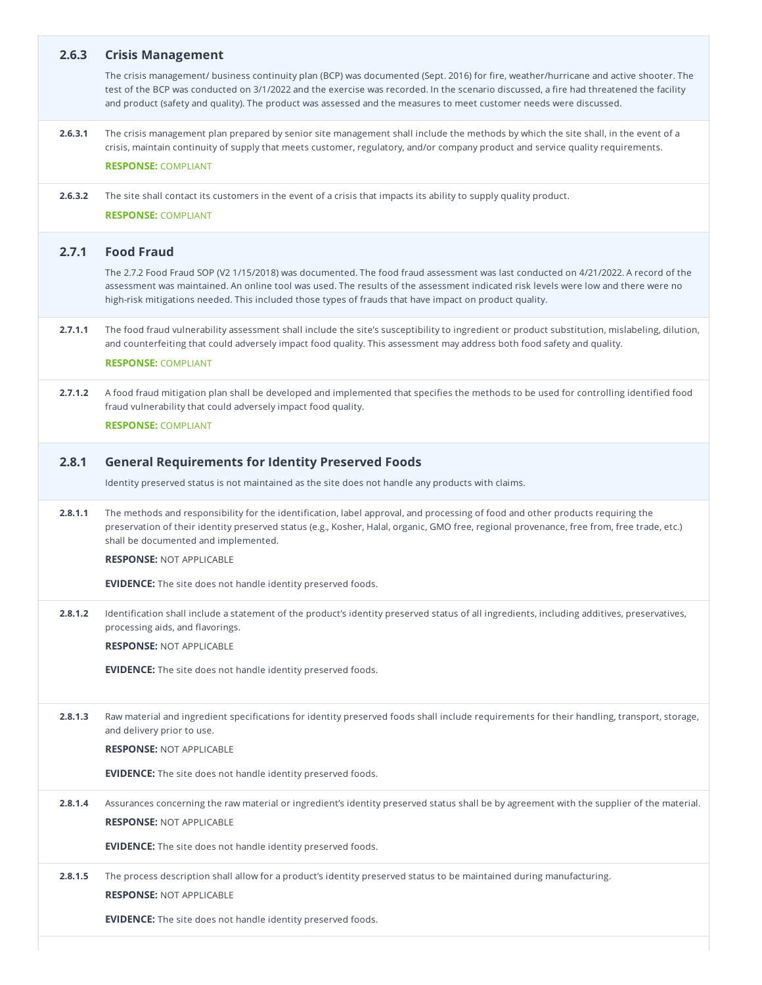| 2.6.3   | <b>Crisis Management</b>                                                                                                                                                                                                                                                                                                                                                                              |
|---------|-------------------------------------------------------------------------------------------------------------------------------------------------------------------------------------------------------------------------------------------------------------------------------------------------------------------------------------------------------------------------------------------------------|
|         | The crisis management/ business continuity plan (BCP) was documented (Sept. 2016) for fire, weather/hurricane and active shooter. The<br>test of the BCP was conducted on 3/1/2022 and the exercise was recorded. In the scenario discussed, a fire had threatened the facility<br>and product (safety and quality). The product was assessed and the measures to meet customer needs were discussed. |
| 2.6.3.1 | The crisis management plan prepared by senior site management shall include the methods by which the site shall, in the event of a<br>crisis, maintain continuity of supply that meets customer, regulatory, and/or company product and service quality requirements.<br><b>RESPONSE: COMPLIANT</b>                                                                                                   |
| 2.6.3.2 | The site shall contact its customers in the event of a crisis that impacts its ability to supply quality product.<br><b>RESPONSE: COMPLIANT</b>                                                                                                                                                                                                                                                       |
| 2.7.1   | <b>Food Fraud</b>                                                                                                                                                                                                                                                                                                                                                                                     |
|         | The 2.7.2 Food Fraud SOP (V2 1/15/2018) was documented. The food fraud assessment was last conducted on 4/21/2022. A record of the<br>assessment was maintained. An online tool was used. The results of the assessment indicated risk levels were low and there were no<br>high-risk mitigations needed. This included those types of frauds that have impact on product quality.                    |
| 2.7.1.1 | The food fraud vulnerability assessment shall include the site's susceptibility to ingredient or product substitution, mislabeling, dilution,<br>and counterfeiting that could adversely impact food quality. This assessment may address both food safety and quality.                                                                                                                               |
|         | <b>RESPONSE: COMPLIANT</b>                                                                                                                                                                                                                                                                                                                                                                            |
| 2.7.1.2 | A food fraud mitigation plan shall be developed and implemented that specifies the methods to be used for controlling identified food<br>fraud vulnerability that could adversely impact food quality.<br><b>RESPONSE: COMPLIANT</b>                                                                                                                                                                  |
| 2.8.1   | <b>General Requirements for Identity Preserved Foods</b>                                                                                                                                                                                                                                                                                                                                              |
|         | Identity preserved status is not maintained as the site does not handle any products with claims.                                                                                                                                                                                                                                                                                                     |
| 2.8.1.1 | The methods and responsibility for the identification, label approval, and processing of food and other products requiring the<br>preservation of their identity preserved status (e.g., Kosher, Halal, organic, GMO free, regional provenance, free from, free trade, etc.)<br>shall be documented and implemented.<br><b>RESPONSE: NOT APPLICABLE</b>                                               |
|         | <b>EVIDENCE:</b> The site does not handle identity preserved foods.                                                                                                                                                                                                                                                                                                                                   |
| 2.8.1.2 | Identification shall include a statement of the product's identity preserved status of all ingredients, including additives, preservatives,<br>processing aids, and flavorings.<br><b>RESPONSE: NOT APPLICABLE</b>                                                                                                                                                                                    |
|         | <b>EVIDENCE:</b> The site does not handle identity preserved foods.                                                                                                                                                                                                                                                                                                                                   |
|         |                                                                                                                                                                                                                                                                                                                                                                                                       |
| 2.8.1.3 | Raw material and ingredient specifications for identity preserved foods shall include requirements for their handling, transport, storage,<br>and delivery prior to use.                                                                                                                                                                                                                              |
|         | <b>RESPONSE: NOT APPLICABLE</b>                                                                                                                                                                                                                                                                                                                                                                       |
|         | <b>EVIDENCE:</b> The site does not handle identity preserved foods.                                                                                                                                                                                                                                                                                                                                   |
| 2.8.1.4 | Assurances concerning the raw material or ingredient's identity preserved status shall be by agreement with the supplier of the material.                                                                                                                                                                                                                                                             |
|         | <b>RESPONSE: NOT APPLICABLE</b>                                                                                                                                                                                                                                                                                                                                                                       |
|         | <b>EVIDENCE:</b> The site does not handle identity preserved foods.                                                                                                                                                                                                                                                                                                                                   |
| 2.8.1.5 | The process description shall allow for a product's identity preserved status to be maintained during manufacturing.                                                                                                                                                                                                                                                                                  |
|         | <b>RESPONSE: NOT APPLICABLE</b>                                                                                                                                                                                                                                                                                                                                                                       |
|         | <b>EVIDENCE:</b> The site does not handle identity preserved foods.                                                                                                                                                                                                                                                                                                                                   |
|         |                                                                                                                                                                                                                                                                                                                                                                                                       |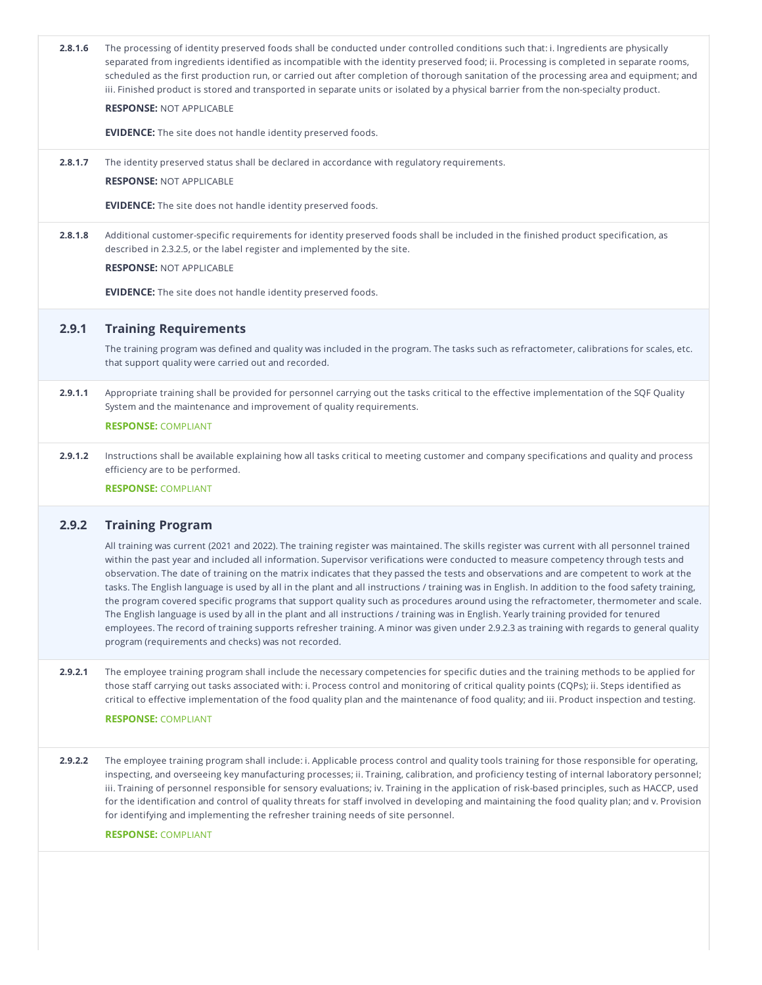| 2.8.1.6 | The processing of identity preserved foods shall be conducted under controlled conditions such that: i. Ingredients are physically<br>separated from ingredients identified as incompatible with the identity preserved food; ii. Processing is completed in separate rooms,<br>scheduled as the first production run, or carried out after completion of thorough sanitation of the processing area and equipment; and<br>iii. Finished product is stored and transported in separate units or isolated by a physical barrier from the non-specialty product.                                                                                                                                                                                                                                                                                                                                                                                                                                                                                                       |
|---------|----------------------------------------------------------------------------------------------------------------------------------------------------------------------------------------------------------------------------------------------------------------------------------------------------------------------------------------------------------------------------------------------------------------------------------------------------------------------------------------------------------------------------------------------------------------------------------------------------------------------------------------------------------------------------------------------------------------------------------------------------------------------------------------------------------------------------------------------------------------------------------------------------------------------------------------------------------------------------------------------------------------------------------------------------------------------|
|         | <b>RESPONSE: NOT APPLICABLE</b>                                                                                                                                                                                                                                                                                                                                                                                                                                                                                                                                                                                                                                                                                                                                                                                                                                                                                                                                                                                                                                      |
|         | <b>EVIDENCE:</b> The site does not handle identity preserved foods.                                                                                                                                                                                                                                                                                                                                                                                                                                                                                                                                                                                                                                                                                                                                                                                                                                                                                                                                                                                                  |
| 2.8.1.7 | The identity preserved status shall be declared in accordance with regulatory requirements.                                                                                                                                                                                                                                                                                                                                                                                                                                                                                                                                                                                                                                                                                                                                                                                                                                                                                                                                                                          |
|         | <b>RESPONSE: NOT APPLICABLE</b>                                                                                                                                                                                                                                                                                                                                                                                                                                                                                                                                                                                                                                                                                                                                                                                                                                                                                                                                                                                                                                      |
|         | <b>EVIDENCE:</b> The site does not handle identity preserved foods.                                                                                                                                                                                                                                                                                                                                                                                                                                                                                                                                                                                                                                                                                                                                                                                                                                                                                                                                                                                                  |
| 2.8.1.8 | Additional customer-specific requirements for identity preserved foods shall be included in the finished product specification, as<br>described in 2.3.2.5, or the label register and implemented by the site.                                                                                                                                                                                                                                                                                                                                                                                                                                                                                                                                                                                                                                                                                                                                                                                                                                                       |
|         | <b>RESPONSE: NOT APPLICABLE</b>                                                                                                                                                                                                                                                                                                                                                                                                                                                                                                                                                                                                                                                                                                                                                                                                                                                                                                                                                                                                                                      |
|         | <b>EVIDENCE:</b> The site does not handle identity preserved foods.                                                                                                                                                                                                                                                                                                                                                                                                                                                                                                                                                                                                                                                                                                                                                                                                                                                                                                                                                                                                  |
| 2.9.1   | <b>Training Requirements</b>                                                                                                                                                                                                                                                                                                                                                                                                                                                                                                                                                                                                                                                                                                                                                                                                                                                                                                                                                                                                                                         |
|         | The training program was defined and quality was included in the program. The tasks such as refractometer, calibrations for scales, etc.<br>that support quality were carried out and recorded.                                                                                                                                                                                                                                                                                                                                                                                                                                                                                                                                                                                                                                                                                                                                                                                                                                                                      |
| 2.9.1.1 | Appropriate training shall be provided for personnel carrying out the tasks critical to the effective implementation of the SQF Quality<br>System and the maintenance and improvement of quality requirements.<br><b>RESPONSE: COMPLIANT</b>                                                                                                                                                                                                                                                                                                                                                                                                                                                                                                                                                                                                                                                                                                                                                                                                                         |
| 2.9.1.2 | Instructions shall be available explaining how all tasks critical to meeting customer and company specifications and quality and process<br>efficiency are to be performed.<br><b>RESPONSE: COMPLIANT</b>                                                                                                                                                                                                                                                                                                                                                                                                                                                                                                                                                                                                                                                                                                                                                                                                                                                            |
| 2.9.2   | <b>Training Program</b>                                                                                                                                                                                                                                                                                                                                                                                                                                                                                                                                                                                                                                                                                                                                                                                                                                                                                                                                                                                                                                              |
|         | All training was current (2021 and 2022). The training register was maintained. The skills register was current with all personnel trained<br>within the past year and included all information. Supervisor verifications were conducted to measure competency through tests and<br>observation. The date of training on the matrix indicates that they passed the tests and observations and are competent to work at the<br>tasks. The English language is used by all in the plant and all instructions / training was in English. In addition to the food safety training,<br>the program covered specific programs that support quality such as procedures around using the refractometer, thermometer and scale.<br>The English language is used by all in the plant and all instructions / training was in English. Yearly training provided for tenured<br>employees. The record of training supports refresher training. A minor was given under 2.9.2.3 as training with regards to general quality<br>program (requirements and checks) was not recorded. |
| 2.9.2.1 | The employee training program shall include the necessary competencies for specific duties and the training methods to be applied for<br>those staff carrying out tasks associated with: i. Process control and monitoring of critical quality points (CQPs); ii. Steps identified as<br>critical to effective implementation of the food quality plan and the maintenance of food quality; and iii. Product inspection and testing.<br><b>RESPONSE: COMPLIANT</b>                                                                                                                                                                                                                                                                                                                                                                                                                                                                                                                                                                                                   |
| 2.9.2.2 | The employee training program shall include: i. Applicable process control and quality tools training for those responsible for operating,<br>inspecting, and overseeing key manufacturing processes; ii. Training, calibration, and proficiency testing of internal laboratory personnel;<br>iii. Training of personnel responsible for sensory evaluations; iv. Training in the application of risk-based principles, such as HACCP, used<br>for the identification and control of quality threats for staff involved in developing and maintaining the food quality plan; and v. Provision<br>for identifying and implementing the refresher training needs of site personnel.                                                                                                                                                                                                                                                                                                                                                                                    |
|         | <b>RESPONSE: COMPLIANT</b>                                                                                                                                                                                                                                                                                                                                                                                                                                                                                                                                                                                                                                                                                                                                                                                                                                                                                                                                                                                                                                           |